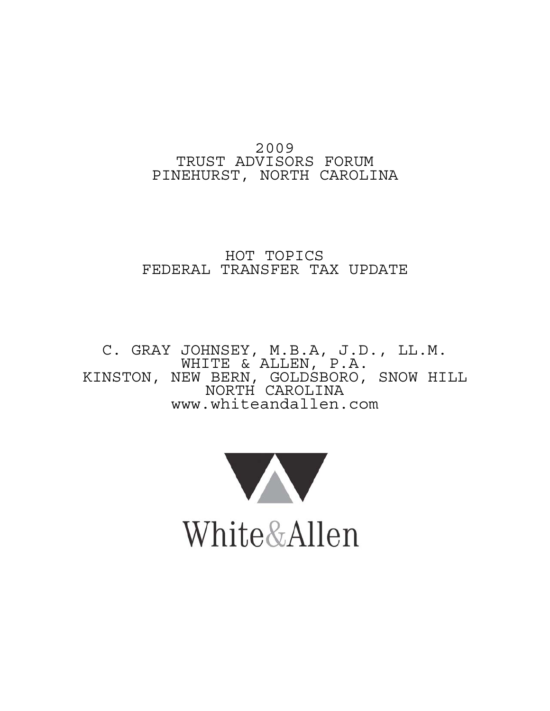# 2009 TRUST ADVISORS FORUM PINEHURST, NORTH CAROLINA

# HOT TOPICS FEDERAL TRANSFER TAX UPDATE

C. GRAY JOHNSEY, M.B.A, J.D., LL.M. WHITE & ALLEN, P.A. KINSTON, NEW BERN, GOLDSBORO, SNOW HILL NORTH CAROLINA www.whiteandallen.com

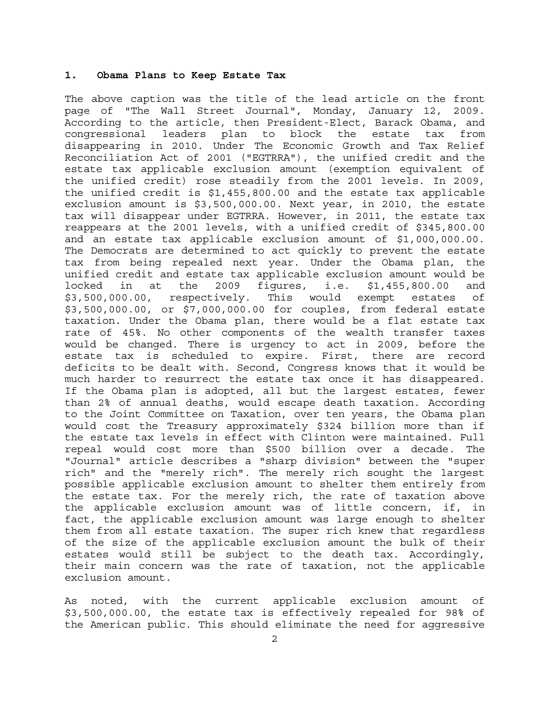#### **1. Obama Plans to Keep Estate Tax**

The above caption was the title of the lead article on the front page of "The Wall Street Journal", Monday, January 12, 2009. According to the article, then President-Elect, Barack Obama, and congressional leaders plan to block the estate tax from disappearing in 2010. Under The Economic Growth and Tax Relief Reconciliation Act of 2001 ("EGTRRA"), the unified credit and the estate tax applicable exclusion amount (exemption equivalent of the unified credit) rose steadily from the 2001 levels. In 2009, the unified credit is \$1,455,800.00 and the estate tax applicable exclusion amount is \$3,500,000.00. Next year, in 2010, the estate tax will disappear under EGTRRA. However, in 2011, the estate tax reappears at the 2001 levels, with a unified credit of \$345,800.00 and an estate tax applicable exclusion amount of \$1,000,000.00. The Democrats are determined to act quickly to prevent the estate tax from being repealed next year. Under the Obama plan, the unified credit and estate tax applicable exclusion amount would be locked in at the 2009 figures, i.e. \$1,455,800.00 and \$3,500,000.00, respectively. This would exempt estates of \$3,500,000.00, or \$7,000,000.00 for couples, from federal estate taxation. Under the Obama plan, there would be a flat estate tax rate of 45%. No other components of the wealth transfer taxes would be changed. There is urgency to act in 2009, before the estate tax is scheduled to expire. First, there are record deficits to be dealt with. Second, Congress knows that it would be much harder to resurrect the estate tax once it has disappeared. If the Obama plan is adopted, all but the largest estates, fewer than 2% of annual deaths, would escape death taxation. According to the Joint Committee on Taxation, over ten years, the Obama plan would cost the Treasury approximately \$324 billion more than if the estate tax levels in effect with Clinton were maintained. Full repeal would cost more than \$500 billion over a decade. The "Journal" article describes a "sharp division" between the "super rich" and the "merely rich". The merely rich sought the largest possible applicable exclusion amount to shelter them entirely from the estate tax. For the merely rich, the rate of taxation above the applicable exclusion amount was of little concern, if, in fact, the applicable exclusion amount was large enough to shelter them from all estate taxation. The super rich knew that regardless of the size of the applicable exclusion amount the bulk of their estates would still be subject to the death tax. Accordingly, their main concern was the rate of taxation, not the applicable exclusion amount.

As noted, with the current applicable exclusion amount of \$3,500,000.00, the estate tax is effectively repealed for 98% of the American public. This should eliminate the need for aggressive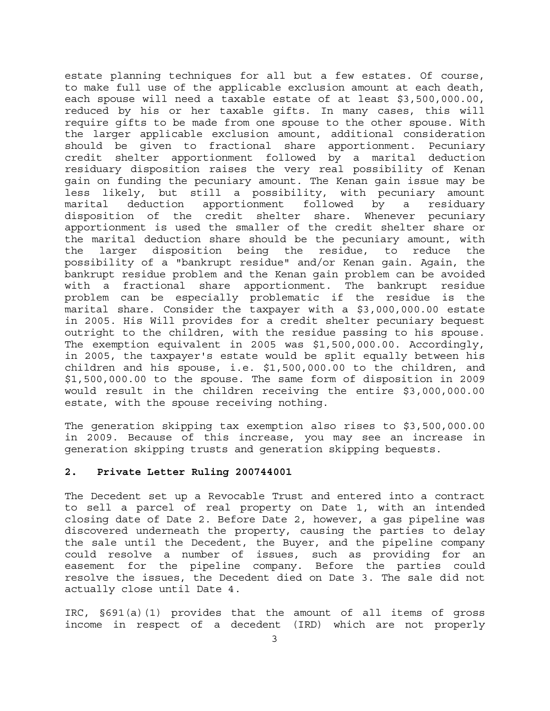estate planning techniques for all but a few estates. Of course, to make full use of the applicable exclusion amount at each death, each spouse will need a taxable estate of at least \$3,500,000.00, reduced by his or her taxable gifts. In many cases, this will require gifts to be made from one spouse to the other spouse. With the larger applicable exclusion amount, additional consideration should be given to fractional share apportionment. Pecuniary credit shelter apportionment followed by a marital deduction residuary disposition raises the very real possibility of Kenan gain on funding the pecuniary amount. The Kenan gain issue may be less likely, but still a possibility, with pecuniary amount marital deduction apportionment followed by a residuary disposition of the credit shelter share. Whenever pecuniary apportionment is used the smaller of the credit shelter share or the marital deduction share should be the pecuniary amount, with the larger disposition being the residue, to reduce the possibility of a "bankrupt residue" and/or Kenan gain. Again, the bankrupt residue problem and the Kenan gain problem can be avoided with a fractional share apportionment. The bankrupt residue problem can be especially problematic if the residue is the marital share. Consider the taxpayer with a \$3,000,000.00 estate in 2005. His Will provides for a credit shelter pecuniary bequest outright to the children, with the residue passing to his spouse. The exemption equivalent in 2005 was \$1,500,000.00. Accordingly, in 2005, the taxpayer's estate would be split equally between his children and his spouse, i.e. \$1,500,000.00 to the children, and \$1,500,000.00 to the spouse. The same form of disposition in 2009 would result in the children receiving the entire \$3,000,000.00 estate, with the spouse receiving nothing.

The generation skipping tax exemption also rises to \$3,500,000.00 in 2009. Because of this increase, you may see an increase in generation skipping trusts and generation skipping bequests.

## **2. Private Letter Ruling 200744001**

The Decedent set up a Revocable Trust and entered into a contract to sell a parcel of real property on Date 1, with an intended closing date of Date 2. Before Date 2, however, a gas pipeline was discovered underneath the property, causing the parties to delay the sale until the Decedent, the Buyer, and the pipeline company could resolve a number of issues, such as providing for an easement for the pipeline company. Before the parties could resolve the issues, the Decedent died on Date 3. The sale did not actually close until Date 4.

IRC, §691(a)(1) provides that the amount of all items of gross income in respect of a decedent (IRD) which are not properly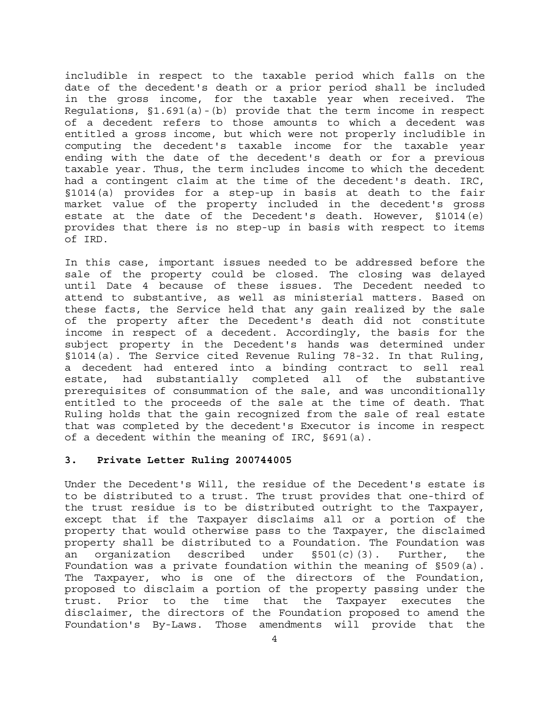includible in respect to the taxable period which falls on the date of the decedent's death or a prior period shall be included in the gross income, for the taxable year when received. The Regulations,  $$1.691(a) - (b)$  provide that the term income in respect of a decedent refers to those amounts to which a decedent was entitled a gross income, but which were not properly includible in computing the decedent's taxable income for the taxable year ending with the date of the decedent's death or for a previous taxable year. Thus, the term includes income to which the decedent had a contingent claim at the time of the decedent's death. IRC, §1014(a) provides for a step-up in basis at death to the fair market value of the property included in the decedent's gross estate at the date of the Decedent's death. However, §1014(e) provides that there is no step-up in basis with respect to items of IRD.

In this case, important issues needed to be addressed before the sale of the property could be closed. The closing was delayed until Date 4 because of these issues. The Decedent needed to attend to substantive, as well as ministerial matters. Based on these facts, the Service held that any gain realized by the sale of the property after the Decedent's death did not constitute income in respect of a decedent. Accordingly, the basis for the subject property in the Decedent's hands was determined under §1014(a). The Service cited Revenue Ruling 78-32. In that Ruling, a decedent had entered into a binding contract to sell real estate, had substantially completed all of the substantive prerequisites of consummation of the sale, and was unconditionally entitled to the proceeds of the sale at the time of death. That Ruling holds that the gain recognized from the sale of real estate that was completed by the decedent's Executor is income in respect of a decedent within the meaning of IRC, §691(a).

## **3. Private Letter Ruling 200744005**

Under the Decedent's Will, the residue of the Decedent's estate is to be distributed to a trust. The trust provides that one-third of the trust residue is to be distributed outright to the Taxpayer, except that if the Taxpayer disclaims all or a portion of the property that would otherwise pass to the Taxpayer, the disclaimed property shall be distributed to a Foundation. The Foundation was an organization described under §501(c)(3). Further, the Foundation was a private foundation within the meaning of §509(a). The Taxpayer, who is one of the directors of the Foundation, proposed to disclaim a portion of the property passing under the trust. Prior to the time that the Taxpayer executes the disclaimer, the directors of the Foundation proposed to amend the Foundation's By-Laws. Those amendments will provide that the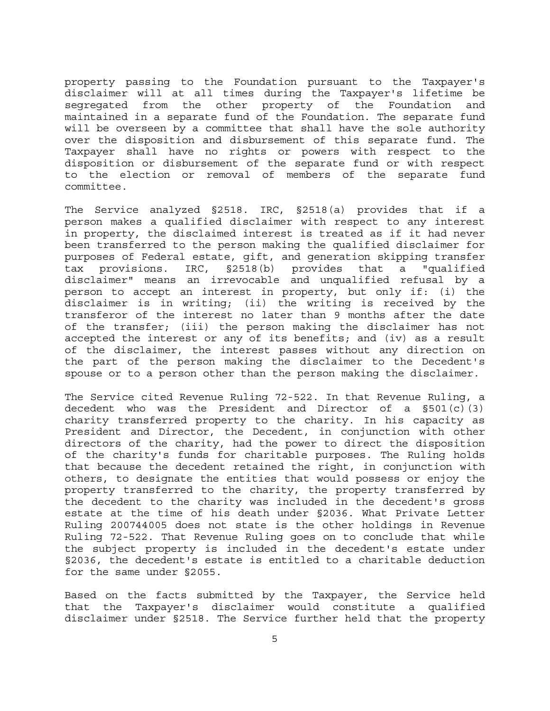property passing to the Foundation pursuant to the Taxpayer's disclaimer will at all times during the Taxpayer's lifetime be segregated from the other property of the Foundation and maintained in a separate fund of the Foundation. The separate fund will be overseen by a committee that shall have the sole authority over the disposition and disbursement of this separate fund. The Taxpayer shall have no rights or powers with respect to the disposition or disbursement of the separate fund or with respect to the election or removal of members of the separate fund committee.

The Service analyzed §2518. IRC, §2518(a) provides that if a person makes a qualified disclaimer with respect to any interest in property, the disclaimed interest is treated as if it had never been transferred to the person making the qualified disclaimer for purposes of Federal estate, gift, and generation skipping transfer tax provisions. IRC, §2518(b) provides that a "qualified disclaimer" means an irrevocable and unqualified refusal by a person to accept an interest in property, but only if: (i) the disclaimer is in writing; (ii) the writing is received by the transferor of the interest no later than 9 months after the date of the transfer; (iii) the person making the disclaimer has not accepted the interest or any of its benefits; and (iv) as a result of the disclaimer, the interest passes without any direction on the part of the person making the disclaimer to the Decedent's spouse or to a person other than the person making the disclaimer.

The Service cited Revenue Ruling 72-522. In that Revenue Ruling, a decedent who was the President and Director of a  $\S501(c)(3)$ charity transferred property to the charity. In his capacity as President and Director, the Decedent, in conjunction with other directors of the charity, had the power to direct the disposition of the charity's funds for charitable purposes. The Ruling holds that because the decedent retained the right, in conjunction with others, to designate the entities that would possess or enjoy the property transferred to the charity, the property transferred by the decedent to the charity was included in the decedent's gross estate at the time of his death under §2036. What Private Letter Ruling 200744005 does not state is the other holdings in Revenue Ruling 72-522. That Revenue Ruling goes on to conclude that while the subject property is included in the decedent's estate under §2036, the decedent's estate is entitled to a charitable deduction for the same under §2055.

Based on the facts submitted by the Taxpayer, the Service held that the Taxpayer's disclaimer would constitute a qualified disclaimer under §2518. The Service further held that the property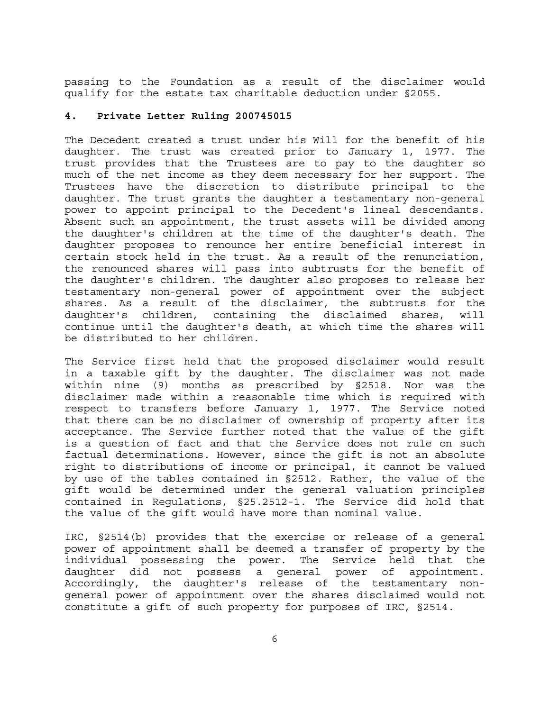passing to the Foundation as a result of the disclaimer would qualify for the estate tax charitable deduction under §2055.

## **4. Private Letter Ruling 200745015**

The Decedent created a trust under his Will for the benefit of his daughter. The trust was created prior to January 1, 1977. The trust provides that the Trustees are to pay to the daughter so much of the net income as they deem necessary for her support. The Trustees have the discretion to distribute principal to the daughter. The trust grants the daughter a testamentary non-general power to appoint principal to the Decedent's lineal descendants. Absent such an appointment, the trust assets will be divided among the daughter's children at the time of the daughter's death. The daughter proposes to renounce her entire beneficial interest in certain stock held in the trust. As a result of the renunciation, the renounced shares will pass into subtrusts for the benefit of the daughter's children. The daughter also proposes to release her testamentary non-general power of appointment over the subject shares. As a result of the disclaimer, the subtrusts for the daughter's children, containing the disclaimed shares, will continue until the daughter's death, at which time the shares will be distributed to her children.

The Service first held that the proposed disclaimer would result in a taxable gift by the daughter. The disclaimer was not made within nine (9) months as prescribed by §2518. Nor was the disclaimer made within a reasonable time which is required with respect to transfers before January 1, 1977. The Service noted that there can be no disclaimer of ownership of property after its acceptance. The Service further noted that the value of the gift is a question of fact and that the Service does not rule on such factual determinations. However, since the gift is not an absolute right to distributions of income or principal, it cannot be valued by use of the tables contained in §2512. Rather, the value of the gift would be determined under the general valuation principles contained in Regulations, §25.2512-1. The Service did hold that the value of the gift would have more than nominal value.

IRC, §2514(b) provides that the exercise or release of a general power of appointment shall be deemed a transfer of property by the individual possessing the power. The Service held that the daughter did not possess a general power of appointment. Accordingly, the daughter's release of the testamentary nongeneral power of appointment over the shares disclaimed would not constitute a gift of such property for purposes of IRC, §2514.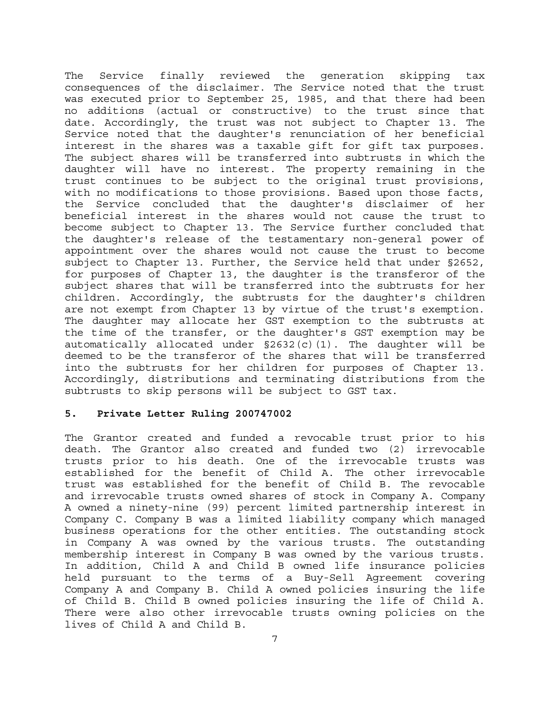The Service finally reviewed the generation skipping tax consequences of the disclaimer. The Service noted that the trust was executed prior to September 25, 1985, and that there had been no additions (actual or constructive) to the trust since that date. Accordingly, the trust was not subject to Chapter 13. The Service noted that the daughter's renunciation of her beneficial interest in the shares was a taxable gift for gift tax purposes. The subject shares will be transferred into subtrusts in which the daughter will have no interest. The property remaining in the trust continues to be subject to the original trust provisions, with no modifications to those provisions. Based upon those facts, the Service concluded that the daughter's disclaimer of her beneficial interest in the shares would not cause the trust to become subject to Chapter 13. The Service further concluded that the daughter's release of the testamentary non-general power of appointment over the shares would not cause the trust to become subject to Chapter 13. Further, the Service held that under §2652, for purposes of Chapter 13, the daughter is the transferor of the subject shares that will be transferred into the subtrusts for her children. Accordingly, the subtrusts for the daughter's children are not exempt from Chapter 13 by virtue of the trust's exemption. The daughter may allocate her GST exemption to the subtrusts at the time of the transfer, or the daughter's GST exemption may be automatically allocated under  $\S2632(c)(1)$ . The daughter will be deemed to be the transferor of the shares that will be transferred into the subtrusts for her children for purposes of Chapter 13. Accordingly, distributions and terminating distributions from the subtrusts to skip persons will be subject to GST tax.

## **5. Private Letter Ruling 200747002**

The Grantor created and funded a revocable trust prior to his death. The Grantor also created and funded two (2) irrevocable trusts prior to his death. One of the irrevocable trusts was established for the benefit of Child A. The other irrevocable trust was established for the benefit of Child B. The revocable and irrevocable trusts owned shares of stock in Company A. Company A owned a ninety-nine (99) percent limited partnership interest in Company C. Company B was a limited liability company which managed business operations for the other entities. The outstanding stock in Company A was owned by the various trusts. The outstanding membership interest in Company B was owned by the various trusts. In addition, Child A and Child B owned life insurance policies held pursuant to the terms of a Buy-Sell Agreement covering Company A and Company B. Child A owned policies insuring the life of Child B. Child B owned policies insuring the life of Child A. There were also other irrevocable trusts owning policies on the lives of Child A and Child B.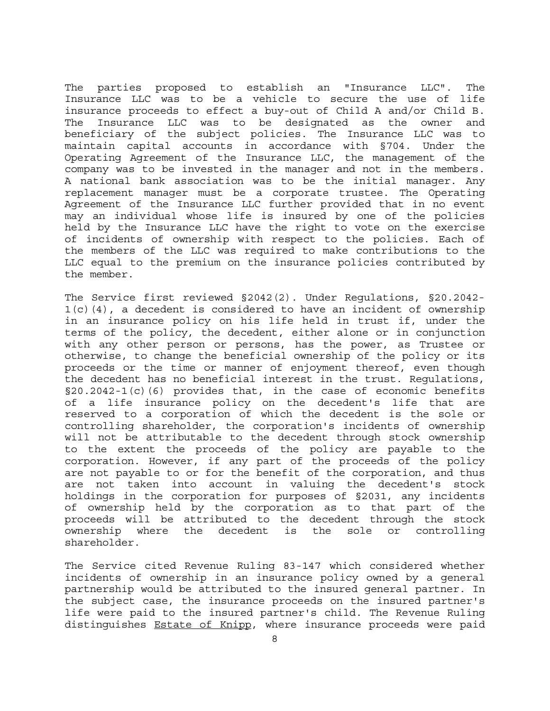The parties proposed to establish an "Insurance LLC". The Insurance LLC was to be a vehicle to secure the use of life insurance proceeds to effect a buy-out of Child A and/or Child B. The Insurance LLC was to be designated as the owner and beneficiary of the subject policies. The Insurance LLC was to maintain capital accounts in accordance with §704. Under the Operating Agreement of the Insurance LLC, the management of the company was to be invested in the manager and not in the members. A national bank association was to be the initial manager. Any replacement manager must be a corporate trustee. The Operating Agreement of the Insurance LLC further provided that in no event may an individual whose life is insured by one of the policies held by the Insurance LLC have the right to vote on the exercise of incidents of ownership with respect to the policies. Each of the members of the LLC was required to make contributions to the LLC equal to the premium on the insurance policies contributed by the member.

The Service first reviewed §2042(2). Under Regulations, §20.2042-  $1(c)(4)$ , a decedent is considered to have an incident of ownership in an insurance policy on his life held in trust if, under the terms of the policy, the decedent, either alone or in conjunction with any other person or persons, has the power, as Trustee or otherwise, to change the beneficial ownership of the policy or its proceeds or the time or manner of enjoyment thereof, even though the decedent has no beneficial interest in the trust. Regulations,  $\S20.2042 - 1(c)(6)$  provides that, in the case of economic benefits of a life insurance policy on the decedent's life that are reserved to a corporation of which the decedent is the sole or controlling shareholder, the corporation's incidents of ownership will not be attributable to the decedent through stock ownership to the extent the proceeds of the policy are payable to the corporation. However, if any part of the proceeds of the policy are not payable to or for the benefit of the corporation, and thus are not taken into account in valuing the decedent's stock holdings in the corporation for purposes of §2031, any incidents of ownership held by the corporation as to that part of the proceeds will be attributed to the decedent through the stock ownership where the decedent is the sole or controlling shareholder.

The Service cited Revenue Ruling 83-147 which considered whether incidents of ownership in an insurance policy owned by a general partnership would be attributed to the insured general partner. In the subject case, the insurance proceeds on the insured partner's life were paid to the insured partner's child. The Revenue Ruling distinguishes Estate of Knipp, where insurance proceeds were paid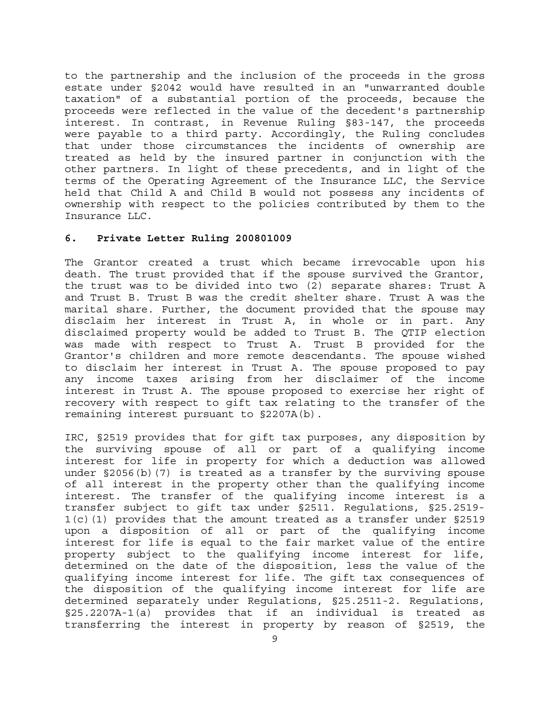to the partnership and the inclusion of the proceeds in the gross estate under §2042 would have resulted in an "unwarranted double taxation" of a substantial portion of the proceeds, because the proceeds were reflected in the value of the decedent's partnership interest. In contrast, in Revenue Ruling §83-147, the proceeds were payable to a third party. Accordingly, the Ruling concludes that under those circumstances the incidents of ownership are treated as held by the insured partner in conjunction with the other partners. In light of these precedents, and in light of the terms of the Operating Agreement of the Insurance LLC, the Service held that Child A and Child B would not possess any incidents of ownership with respect to the policies contributed by them to the Insurance LLC.

## **6. Private Letter Ruling 200801009**

The Grantor created a trust which became irrevocable upon his death. The trust provided that if the spouse survived the Grantor, the trust was to be divided into two (2) separate shares: Trust A and Trust B. Trust B was the credit shelter share. Trust A was the marital share. Further, the document provided that the spouse may disclaim her interest in Trust A, in whole or in part. Any disclaimed property would be added to Trust B. The QTIP election was made with respect to Trust A. Trust B provided for the Grantor's children and more remote descendants. The spouse wished to disclaim her interest in Trust A. The spouse proposed to pay any income taxes arising from her disclaimer of the income interest in Trust A. The spouse proposed to exercise her right of recovery with respect to gift tax relating to the transfer of the remaining interest pursuant to §2207A(b).

IRC, §2519 provides that for gift tax purposes, any disposition by the surviving spouse of all or part of a qualifying income interest for life in property for which a deduction was allowed under §2056(b)(7) is treated as a transfer by the surviving spouse of all interest in the property other than the qualifying income interest. The transfer of the qualifying income interest is a transfer subject to gift tax under §2511. Regulations, §25.2519-  $1(c)$  (1) provides that the amount treated as a transfer under §2519 upon a disposition of all or part of the qualifying income interest for life is equal to the fair market value of the entire property subject to the qualifying income interest for life, determined on the date of the disposition, less the value of the qualifying income interest for life. The gift tax consequences of the disposition of the qualifying income interest for life are determined separately under Regulations, §25.2511-2. Regulations, §25.2207A-1(a) provides that if an individual is treated as transferring the interest in property by reason of §2519, the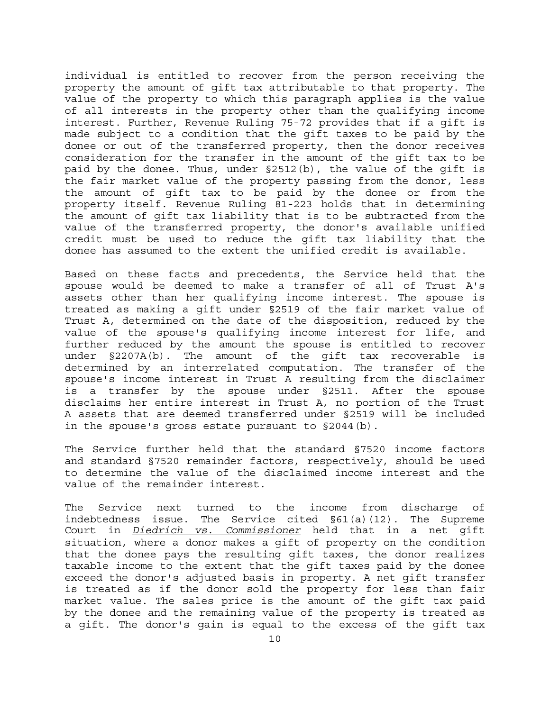individual is entitled to recover from the person receiving the property the amount of gift tax attributable to that property. The value of the property to which this paragraph applies is the value of all interests in the property other than the qualifying income interest. Further, Revenue Ruling 75-72 provides that if a gift is made subject to a condition that the gift taxes to be paid by the donee or out of the transferred property, then the donor receives consideration for the transfer in the amount of the gift tax to be paid by the donee. Thus, under §2512(b), the value of the gift is the fair market value of the property passing from the donor, less the amount of gift tax to be paid by the donee or from the property itself. Revenue Ruling 81-223 holds that in determining the amount of gift tax liability that is to be subtracted from the value of the transferred property, the donor's available unified credit must be used to reduce the gift tax liability that the donee has assumed to the extent the unified credit is available.

Based on these facts and precedents, the Service held that the spouse would be deemed to make a transfer of all of Trust A's assets other than her qualifying income interest. The spouse is treated as making a gift under §2519 of the fair market value of Trust A, determined on the date of the disposition, reduced by the value of the spouse's qualifying income interest for life, and further reduced by the amount the spouse is entitled to recover under §2207A(b). The amount of the gift tax recoverable is determined by an interrelated computation. The transfer of the spouse's income interest in Trust A resulting from the disclaimer is a transfer by the spouse under §2511. After the spouse disclaims her entire interest in Trust A, no portion of the Trust A assets that are deemed transferred under §2519 will be included in the spouse's gross estate pursuant to §2044(b).

The Service further held that the standard §7520 income factors and standard §7520 remainder factors, respectively, should be used to determine the value of the disclaimed income interest and the value of the remainder interest.

The Service next turned to the income from discharge of indebtedness issue. The Service cited §61(a)(12). The Supreme Court in *Diedrich vs. Commissioner* held that in a net gift situation, where a donor makes a gift of property on the condition that the donee pays the resulting gift taxes, the donor realizes taxable income to the extent that the gift taxes paid by the donee exceed the donor's adjusted basis in property. A net gift transfer is treated as if the donor sold the property for less than fair market value. The sales price is the amount of the gift tax paid by the donee and the remaining value of the property is treated as a gift. The donor's gain is equal to the excess of the gift tax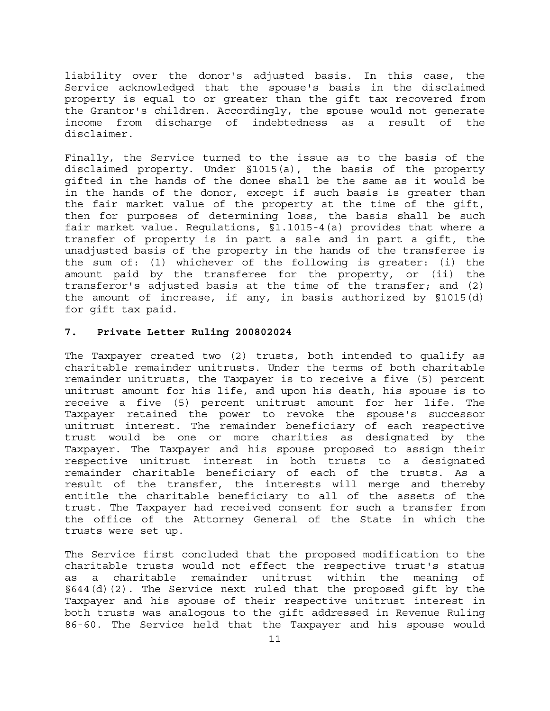liability over the donor's adjusted basis. In this case, the Service acknowledged that the spouse's basis in the disclaimed property is equal to or greater than the gift tax recovered from the Grantor's children. Accordingly, the spouse would not generate income from discharge of indebtedness as a result of the disclaimer.

Finally, the Service turned to the issue as to the basis of the disclaimed property. Under §1015(a), the basis of the property gifted in the hands of the donee shall be the same as it would be in the hands of the donor, except if such basis is greater than the fair market value of the property at the time of the gift, then for purposes of determining loss, the basis shall be such fair market value. Regulations, §1.1015-4(a) provides that where a transfer of property is in part a sale and in part a gift, the unadjusted basis of the property in the hands of the transferee is the sum of: (1) whichever of the following is greater: (i) the amount paid by the transferee for the property, or (ii) the transferor's adjusted basis at the time of the transfer; and (2) the amount of increase, if any, in basis authorized by §1015(d) for gift tax paid.

#### **7. Private Letter Ruling 200802024**

The Taxpayer created two (2) trusts, both intended to qualify as charitable remainder unitrusts. Under the terms of both charitable remainder unitrusts, the Taxpayer is to receive a five (5) percent unitrust amount for his life, and upon his death, his spouse is to receive a five (5) percent unitrust amount for her life. The Taxpayer retained the power to revoke the spouse's successor unitrust interest. The remainder beneficiary of each respective trust would be one or more charities as designated by the Taxpayer. The Taxpayer and his spouse proposed to assign their respective unitrust interest in both trusts to a designated remainder charitable beneficiary of each of the trusts. As a result of the transfer, the interests will merge and thereby entitle the charitable beneficiary to all of the assets of the trust. The Taxpayer had received consent for such a transfer from the office of the Attorney General of the State in which the trusts were set up.

The Service first concluded that the proposed modification to the charitable trusts would not effect the respective trust's status as a charitable remainder unitrust within the meaning of §644(d)(2). The Service next ruled that the proposed gift by the Taxpayer and his spouse of their respective unitrust interest in both trusts was analogous to the gift addressed in Revenue Ruling 86-60. The Service held that the Taxpayer and his spouse would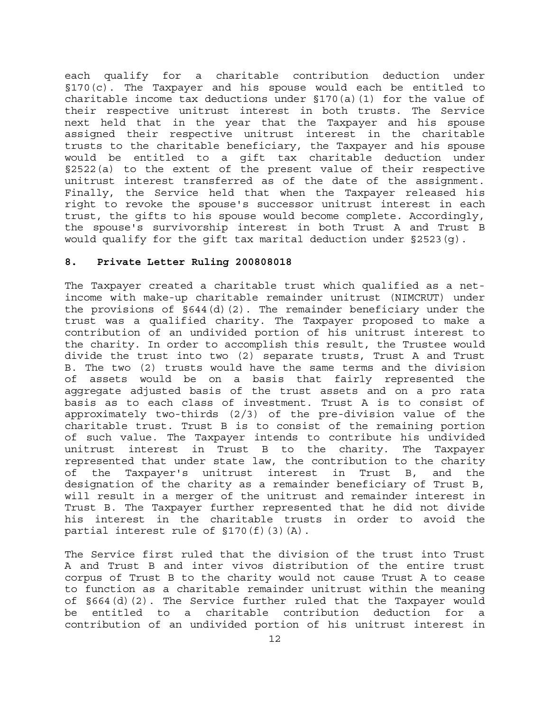each qualify for a charitable contribution deduction under §170(c). The Taxpayer and his spouse would each be entitled to charitable income tax deductions under §170(a)(1) for the value of their respective unitrust interest in both trusts. The Service next held that in the year that the Taxpayer and his spouse assigned their respective unitrust interest in the charitable trusts to the charitable beneficiary, the Taxpayer and his spouse would be entitled to a gift tax charitable deduction under §2522(a) to the extent of the present value of their respective unitrust interest transferred as of the date of the assignment. Finally, the Service held that when the Taxpayer released his right to revoke the spouse's successor unitrust interest in each trust, the gifts to his spouse would become complete. Accordingly, the spouse's survivorship interest in both Trust A and Trust B would qualify for the gift tax marital deduction under §2523(g).

## **8. Private Letter Ruling 200808018**

The Taxpayer created a charitable trust which qualified as a netincome with make-up charitable remainder unitrust (NIMCRUT) under the provisions of  $\S644(d)(2)$ . The remainder beneficiary under the trust was a qualified charity. The Taxpayer proposed to make a contribution of an undivided portion of his unitrust interest to the charity. In order to accomplish this result, the Trustee would divide the trust into two (2) separate trusts, Trust A and Trust B. The two (2) trusts would have the same terms and the division of assets would be on a basis that fairly represented the aggregate adjusted basis of the trust assets and on a pro rata basis as to each class of investment. Trust A is to consist of approximately two-thirds (2/3) of the pre-division value of the charitable trust. Trust B is to consist of the remaining portion of such value. The Taxpayer intends to contribute his undivided unitrust interest in Trust B to the charity. The Taxpayer represented that under state law, the contribution to the charity of the Taxpayer's unitrust interest in Trust B, and the designation of the charity as a remainder beneficiary of Trust B, will result in a merger of the unitrust and remainder interest in Trust B. The Taxpayer further represented that he did not divide his interest in the charitable trusts in order to avoid the partial interest rule of §170(f)(3)(A).

The Service first ruled that the division of the trust into Trust A and Trust B and inter vivos distribution of the entire trust corpus of Trust B to the charity would not cause Trust A to cease to function as a charitable remainder unitrust within the meaning of §664(d)(2). The Service further ruled that the Taxpayer would be entitled to a charitable contribution deduction for a contribution of an undivided portion of his unitrust interest in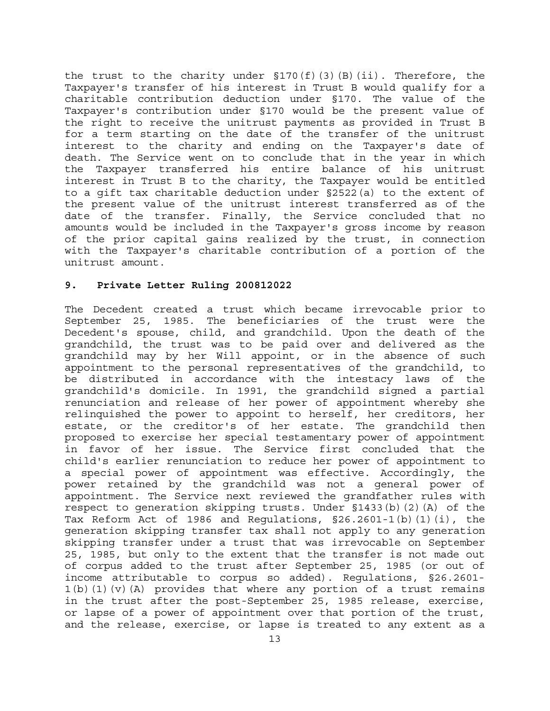the trust to the charity under  $\S 170(f)(3)(B)(ii)$ . Therefore, the Taxpayer's transfer of his interest in Trust B would qualify for a charitable contribution deduction under §170. The value of the Taxpayer's contribution under §170 would be the present value of the right to receive the unitrust payments as provided in Trust B for a term starting on the date of the transfer of the unitrust interest to the charity and ending on the Taxpayer's date of death. The Service went on to conclude that in the year in which the Taxpayer transferred his entire balance of his unitrust interest in Trust B to the charity, the Taxpayer would be entitled to a gift tax charitable deduction under §2522(a) to the extent of the present value of the unitrust interest transferred as of the date of the transfer. Finally, the Service concluded that no amounts would be included in the Taxpayer's gross income by reason of the prior capital gains realized by the trust, in connection with the Taxpayer's charitable contribution of a portion of the unitrust amount.

## **9. Private Letter Ruling 200812022**

The Decedent created a trust which became irrevocable prior to September 25, 1985. The beneficiaries of the trust were the Decedent's spouse, child, and grandchild. Upon the death of the grandchild, the trust was to be paid over and delivered as the grandchild may by her Will appoint, or in the absence of such appointment to the personal representatives of the grandchild, to be distributed in accordance with the intestacy laws of the grandchild's domicile. In 1991, the grandchild signed a partial renunciation and release of her power of appointment whereby she relinquished the power to appoint to herself, her creditors, her estate, or the creditor's of her estate. The grandchild then proposed to exercise her special testamentary power of appointment in favor of her issue. The Service first concluded that the child's earlier renunciation to reduce her power of appointment to a special power of appointment was effective. Accordingly, the power retained by the grandchild was not a general power of appointment. The Service next reviewed the grandfather rules with respect to generation skipping trusts. Under §1433(b)(2)(A) of the Tax Reform Act of 1986 and Requlations,  $\S 26.2601 - 1(b)(1)(i)$ , the generation skipping transfer tax shall not apply to any generation skipping transfer under a trust that was irrevocable on September 25, 1985, but only to the extent that the transfer is not made out of corpus added to the trust after September 25, 1985 (or out of income attributable to corpus so added). Regulations, §26.2601-  $1(b)(1)(v)(A)$  provides that where any portion of a trust remains in the trust after the post-September 25, 1985 release, exercise, or lapse of a power of appointment over that portion of the trust, and the release, exercise, or lapse is treated to any extent as a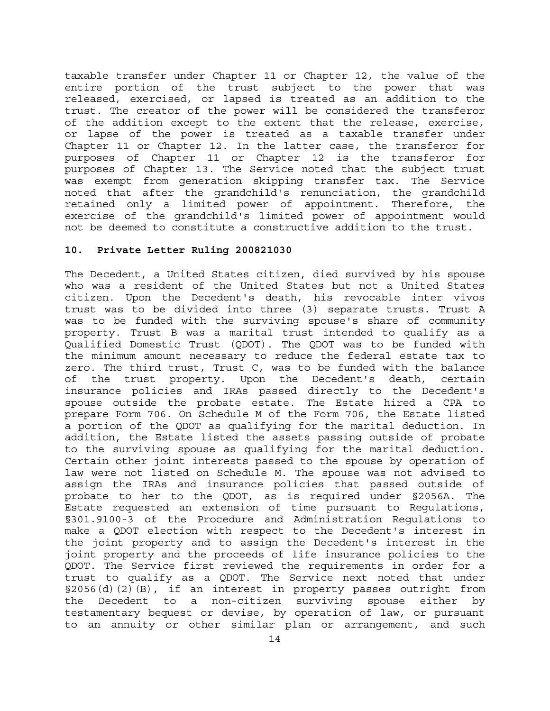taxable transfer under Chapter 11 or Chapter 12, the value of the entire portion of the trust subject to the power that was released, exercised, or lapsed is treated as an addition to the trust. The creator of the power will be considered the transferor of the addition except to the extent that the release, exercise, or lapse of the power is treated as a taxable transfer under Chapter 11 or Chapter 12. In the latter case, the transferor for purposes of Chapter 11 or Chapter 12 is the transferor for purposes of Chapter 13. The Service noted that the subject trust was exempt from generation skipping transfer tax. The Service noted that after the grandchild's renunciation, the grandchild retained only a limited power of appointment. Therefore, the exercise of the grandchild's limited power of appointment would not be deemed to constitute a constructive addition to the trust.

## **10. Private Letter Ruling 200821030**

The Decedent, a United States citizen, died survived by his spouse who was a resident of the United States but not a United States citizen. Upon the Decedent's death, his revocable inter vivos trust was to be divided into three (3) separate trusts. Trust A was to be funded with the surviving spouse's share of community property. Trust B was a marital trust intended to qualify as a Qualified Domestic Trust (QDOT). The QDOT was to be funded with the minimum amount necessary to reduce the federal estate tax to zero. The third trust, Trust C, was to be funded with the balance of the trust property. Upon the Decedent's death, certain insurance policies and IRAs passed directly to the Decedent's spouse outside the probate estate. The Estate hired a CPA to prepare Form 706. On Schedule M of the Form 706, the Estate listed a portion of the QDOT as qualifying for the marital deduction. In addition, the Estate listed the assets passing outside of probate to the surviving spouse as qualifying for the marital deduction. Certain other joint interests passed to the spouse by operation of law were not listed on Schedule M. The spouse was not advised to assign the IRAs and insurance policies that passed outside of probate to her to the QDOT, as is required under §2056A. The Estate requested an extension of time pursuant to Regulations, §301.9100-3 of the Procedure and Administration Regulations to make a QDOT election with respect to the Decedent's interest in the joint property and to assign the Decedent's interest in the joint property and the proceeds of life insurance policies to the QDOT. The Service first reviewed the requirements in order for a trust to qualify as a QDOT. The Service next noted that under §2056(d)(2)(B), if an interest in property passes outright from the Decedent to a non-citizen surviving spouse either by testamentary bequest or devise, by operation of law, or pursuant to an annuity or other similar plan or arrangement, and such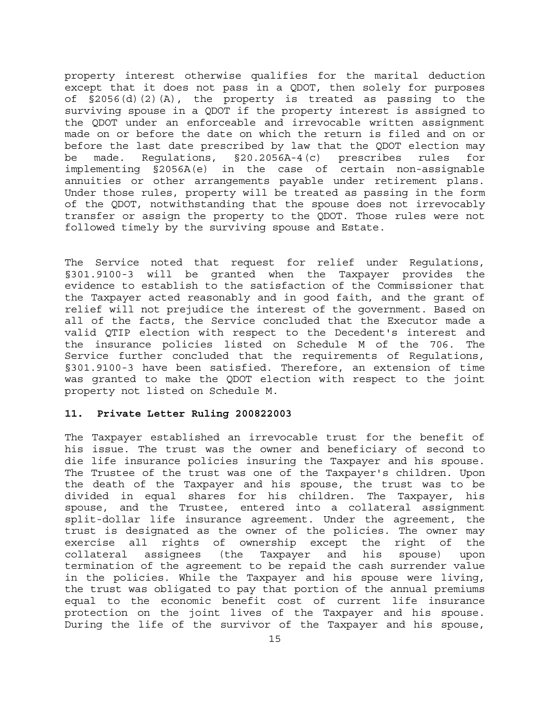property interest otherwise qualifies for the marital deduction except that it does not pass in a QDOT, then solely for purposes of §2056(d)(2)(A), the property is treated as passing to the surviving spouse in a QDOT if the property interest is assigned to the QDOT under an enforceable and irrevocable written assignment made on or before the date on which the return is filed and on or before the last date prescribed by law that the QDOT election may be made. Regulations, §20.2056A-4(c) prescribes rules for implementing §2056A(e) in the case of certain non-assignable annuities or other arrangements payable under retirement plans. Under those rules, property will be treated as passing in the form of the QDOT, notwithstanding that the spouse does not irrevocably transfer or assign the property to the QDOT. Those rules were not followed timely by the surviving spouse and Estate.

The Service noted that request for relief under Regulations, §301.9100-3 will be granted when the Taxpayer provides the evidence to establish to the satisfaction of the Commissioner that the Taxpayer acted reasonably and in good faith, and the grant of relief will not prejudice the interest of the government. Based on all of the facts, the Service concluded that the Executor made a valid QTIP election with respect to the Decedent's interest and the insurance policies listed on Schedule M of the 706. The Service further concluded that the requirements of Regulations, §301.9100-3 have been satisfied. Therefore, an extension of time was granted to make the QDOT election with respect to the joint property not listed on Schedule M.

## **11. Private Letter Ruling 200822003**

The Taxpayer established an irrevocable trust for the benefit of his issue. The trust was the owner and beneficiary of second to die life insurance policies insuring the Taxpayer and his spouse. The Trustee of the trust was one of the Taxpayer's children. Upon the death of the Taxpayer and his spouse, the trust was to be divided in equal shares for his children. The Taxpayer, his spouse, and the Trustee, entered into a collateral assignment split-dollar life insurance agreement. Under the agreement, the trust is designated as the owner of the policies. The owner may exercise all rights of ownership except the right of the collateral assignees (the Taxpayer and his spouse) upon termination of the agreement to be repaid the cash surrender value in the policies. While the Taxpayer and his spouse were living, the trust was obligated to pay that portion of the annual premiums equal to the economic benefit cost of current life insurance protection on the joint lives of the Taxpayer and his spouse. During the life of the survivor of the Taxpayer and his spouse,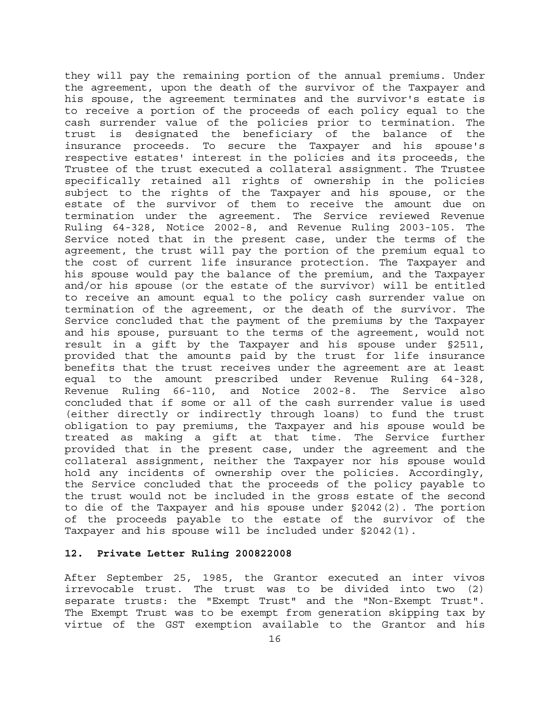they will pay the remaining portion of the annual premiums. Under the agreement, upon the death of the survivor of the Taxpayer and his spouse, the agreement terminates and the survivor's estate is to receive a portion of the proceeds of each policy equal to the cash surrender value of the policies prior to termination. The trust is designated the beneficiary of the balance of the insurance proceeds. To secure the Taxpayer and his spouse's respective estates' interest in the policies and its proceeds, the Trustee of the trust executed a collateral assignment. The Trustee specifically retained all rights of ownership in the policies subject to the rights of the Taxpayer and his spouse, or the estate of the survivor of them to receive the amount due on termination under the agreement. The Service reviewed Revenue Ruling 64-328, Notice 2002-8, and Revenue Ruling 2003-105. The Service noted that in the present case, under the terms of the agreement, the trust will pay the portion of the premium equal to the cost of current life insurance protection. The Taxpayer and his spouse would pay the balance of the premium, and the Taxpayer and/or his spouse (or the estate of the survivor) will be entitled to receive an amount equal to the policy cash surrender value on termination of the agreement, or the death of the survivor. The Service concluded that the payment of the premiums by the Taxpayer and his spouse, pursuant to the terms of the agreement, would not result in a gift by the Taxpayer and his spouse under §2511, provided that the amounts paid by the trust for life insurance benefits that the trust receives under the agreement are at least equal to the amount prescribed under Revenue Ruling 64-328, Revenue Ruling 66-110, and Notice 2002-8. The Service also concluded that if some or all of the cash surrender value is used (either directly or indirectly through loans) to fund the trust obligation to pay premiums, the Taxpayer and his spouse would be treated as making a gift at that time. The Service further provided that in the present case, under the agreement and the collateral assignment, neither the Taxpayer nor his spouse would hold any incidents of ownership over the policies. Accordingly, the Service concluded that the proceeds of the policy payable to the trust would not be included in the gross estate of the second to die of the Taxpayer and his spouse under §2042(2). The portion of the proceeds payable to the estate of the survivor of the Taxpayer and his spouse will be included under §2042(1).

## **12. Private Letter Ruling 200822008**

After September 25, 1985, the Grantor executed an inter vivos irrevocable trust. The trust was to be divided into two (2) separate trusts: the "Exempt Trust" and the "Non-Exempt Trust". The Exempt Trust was to be exempt from generation skipping tax by virtue of the GST exemption available to the Grantor and his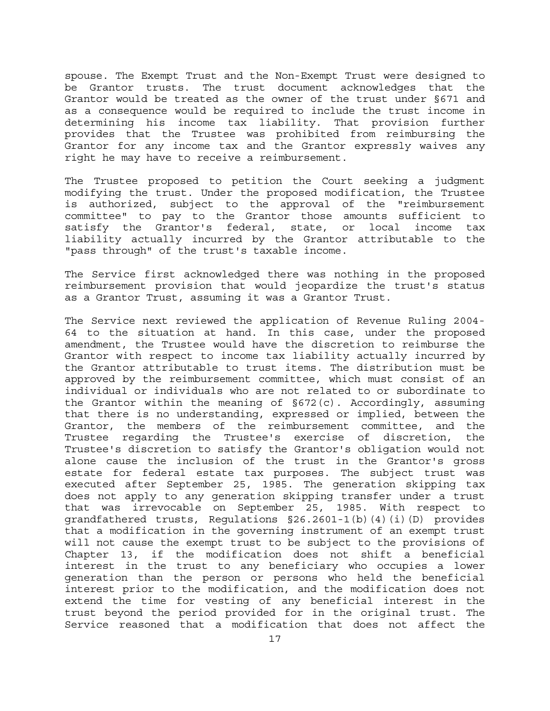spouse. The Exempt Trust and the Non-Exempt Trust were designed to be Grantor trusts. The trust document acknowledges that the Grantor would be treated as the owner of the trust under §671 and as a consequence would be required to include the trust income in determining his income tax liability. That provision further provides that the Trustee was prohibited from reimbursing the Grantor for any income tax and the Grantor expressly waives any right he may have to receive a reimbursement.

The Trustee proposed to petition the Court seeking a judgment modifying the trust. Under the proposed modification, the Trustee is authorized, subject to the approval of the "reimbursement committee" to pay to the Grantor those amounts sufficient to satisfy the Grantor's federal, state, or local income tax liability actually incurred by the Grantor attributable to the "pass through" of the trust's taxable income.

The Service first acknowledged there was nothing in the proposed reimbursement provision that would jeopardize the trust's status as a Grantor Trust, assuming it was a Grantor Trust.

The Service next reviewed the application of Revenue Ruling 2004- 64 to the situation at hand. In this case, under the proposed amendment, the Trustee would have the discretion to reimburse the Grantor with respect to income tax liability actually incurred by the Grantor attributable to trust items. The distribution must be approved by the reimbursement committee, which must consist of an individual or individuals who are not related to or subordinate to the Grantor within the meaning of §672(c). Accordingly, assuming that there is no understanding, expressed or implied, between the Grantor, the members of the reimbursement committee, and the Trustee regarding the Trustee's exercise of discretion, the Trustee's discretion to satisfy the Grantor's obligation would not alone cause the inclusion of the trust in the Grantor's gross estate for federal estate tax purposes. The subject trust was executed after September 25, 1985. The generation skipping tax does not apply to any generation skipping transfer under a trust that was irrevocable on September 25, 1985. With respect to grandfathered trusts, Regulations §26.2601-1(b)(4)(i)(D) provides that a modification in the governing instrument of an exempt trust will not cause the exempt trust to be subject to the provisions of Chapter 13, if the modification does not shift a beneficial interest in the trust to any beneficiary who occupies a lower generation than the person or persons who held the beneficial interest prior to the modification, and the modification does not extend the time for vesting of any beneficial interest in the trust beyond the period provided for in the original trust. The Service reasoned that a modification that does not affect the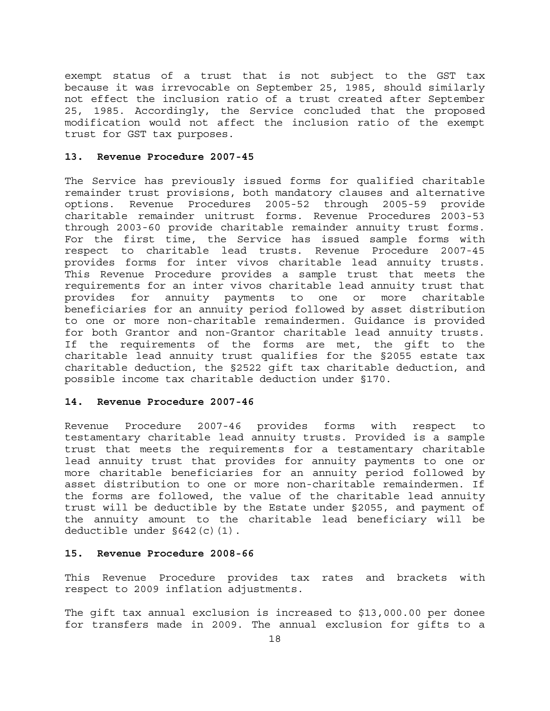exempt status of a trust that is not subject to the GST tax because it was irrevocable on September 25, 1985, should similarly not effect the inclusion ratio of a trust created after September 25, 1985. Accordingly, the Service concluded that the proposed modification would not affect the inclusion ratio of the exempt trust for GST tax purposes.

#### **13. Revenue Procedure 2007-45**

The Service has previously issued forms for qualified charitable remainder trust provisions, both mandatory clauses and alternative options. Revenue Procedures 2005-52 through 2005-59 provide charitable remainder unitrust forms. Revenue Procedures 2003-53 through 2003-60 provide charitable remainder annuity trust forms. For the first time, the Service has issued sample forms with respect to charitable lead trusts. Revenue Procedure 2007-45 provides forms for inter vivos charitable lead annuity trusts. This Revenue Procedure provides a sample trust that meets the requirements for an inter vivos charitable lead annuity trust that provides for annuity payments to one or more charitable beneficiaries for an annuity period followed by asset distribution to one or more non-charitable remaindermen. Guidance is provided for both Grantor and non-Grantor charitable lead annuity trusts. If the requirements of the forms are met, the gift to the charitable lead annuity trust qualifies for the §2055 estate tax charitable deduction, the §2522 gift tax charitable deduction, and possible income tax charitable deduction under §170.

#### **14. Revenue Procedure 2007-46**

Revenue Procedure 2007-46 provides forms with respect to testamentary charitable lead annuity trusts. Provided is a sample trust that meets the requirements for a testamentary charitable lead annuity trust that provides for annuity payments to one or more charitable beneficiaries for an annuity period followed by asset distribution to one or more non-charitable remaindermen. If the forms are followed, the value of the charitable lead annuity trust will be deductible by the Estate under §2055, and payment of the annuity amount to the charitable lead beneficiary will be deductible under §642(c)(1).

## **15. Revenue Procedure 2008-66**

This Revenue Procedure provides tax rates and brackets with respect to 2009 inflation adjustments.

The gift tax annual exclusion is increased to \$13,000.00 per donee for transfers made in 2009. The annual exclusion for gifts to a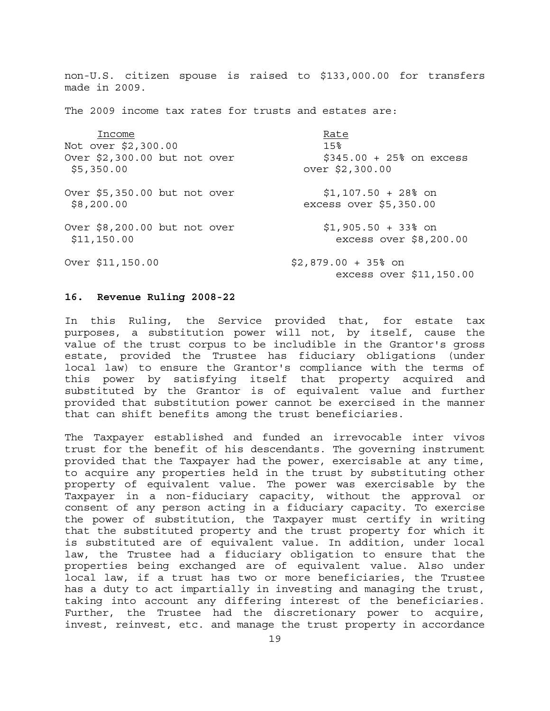non-U.S. citizen spouse is raised to \$133,000.00 for transfers made in 2009. The 2009 income tax rates for trusts and estates are: Income Rate Not over \$2,300.00 15% Over  $$2,300.00$  but not over  $$345.00 + 25$  on excess \$5,350.00 over \$2,300.00 Over \$5,350.00 but not over \$1,107.50 + 28% on \$8,200.00 excess over \$5,350.00 Over \$8,200.00 but not over \$1,905.50 + 33% on \$11,150.00 excess over \$8,200.00 Over \$11,150.00 \$2,879.00 + 35% on excess over \$11,150.00

#### **16. Revenue Ruling 2008-22**

In this Ruling, the Service provided that, for estate tax purposes, a substitution power will not, by itself, cause the value of the trust corpus to be includible in the Grantor's gross estate, provided the Trustee has fiduciary obligations (under local law) to ensure the Grantor's compliance with the terms of this power by satisfying itself that property acquired and substituted by the Grantor is of equivalent value and further provided that substitution power cannot be exercised in the manner that can shift benefits among the trust beneficiaries.

The Taxpayer established and funded an irrevocable inter vivos trust for the benefit of his descendants. The governing instrument provided that the Taxpayer had the power, exercisable at any time, to acquire any properties held in the trust by substituting other property of equivalent value. The power was exercisable by the Taxpayer in a non-fiduciary capacity, without the approval or consent of any person acting in a fiduciary capacity. To exercise the power of substitution, the Taxpayer must certify in writing that the substituted property and the trust property for which it is substituted are of equivalent value. In addition, under local law, the Trustee had a fiduciary obligation to ensure that the properties being exchanged are of equivalent value. Also under local law, if a trust has two or more beneficiaries, the Trustee has a duty to act impartially in investing and managing the trust, taking into account any differing interest of the beneficiaries. Further, the Trustee had the discretionary power to acquire, invest, reinvest, etc. and manage the trust property in accordance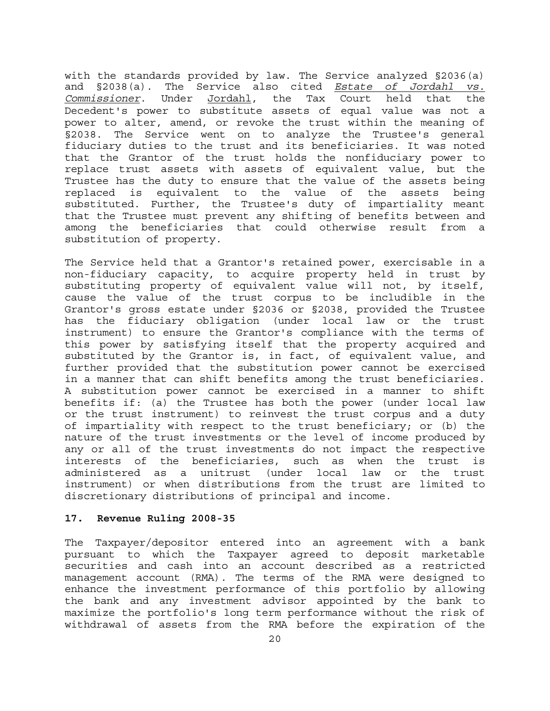with the standards provided by law. The Service analyzed §2036(a) and §2038(a). The Service also cited *Estate of Jordahl vs. Commissioner*. Under Jordahl, the Tax Court held that the Decedent's power to substitute assets of equal value was not a power to alter, amend, or revoke the trust within the meaning of §2038. The Service went on to analyze the Trustee's general fiduciary duties to the trust and its beneficiaries. It was noted that the Grantor of the trust holds the nonfiduciary power to replace trust assets with assets of equivalent value, but the Trustee has the duty to ensure that the value of the assets being replaced is equivalent to the value of the assets being substituted. Further, the Trustee's duty of impartiality meant that the Trustee must prevent any shifting of benefits between and among the beneficiaries that could otherwise result from a substitution of property.

The Service held that a Grantor's retained power, exercisable in a non-fiduciary capacity, to acquire property held in trust by substituting property of equivalent value will not, by itself, cause the value of the trust corpus to be includible in the Grantor's gross estate under §2036 or §2038, provided the Trustee has the fiduciary obligation (under local law or the trust instrument) to ensure the Grantor's compliance with the terms of this power by satisfying itself that the property acquired and substituted by the Grantor is, in fact, of equivalent value, and further provided that the substitution power cannot be exercised in a manner that can shift benefits among the trust beneficiaries. A substitution power cannot be exercised in a manner to shift benefits if: (a) the Trustee has both the power (under local law or the trust instrument) to reinvest the trust corpus and a duty of impartiality with respect to the trust beneficiary; or (b) the nature of the trust investments or the level of income produced by any or all of the trust investments do not impact the respective interests of the beneficiaries, such as when the trust is administered as a unitrust (under local law or the trust instrument) or when distributions from the trust are limited to discretionary distributions of principal and income.

## **17. Revenue Ruling 2008-35**

The Taxpayer/depositor entered into an agreement with a bank pursuant to which the Taxpayer agreed to deposit marketable securities and cash into an account described as a restricted management account (RMA). The terms of the RMA were designed to enhance the investment performance of this portfolio by allowing the bank and any investment advisor appointed by the bank to maximize the portfolio's long term performance without the risk of withdrawal of assets from the RMA before the expiration of the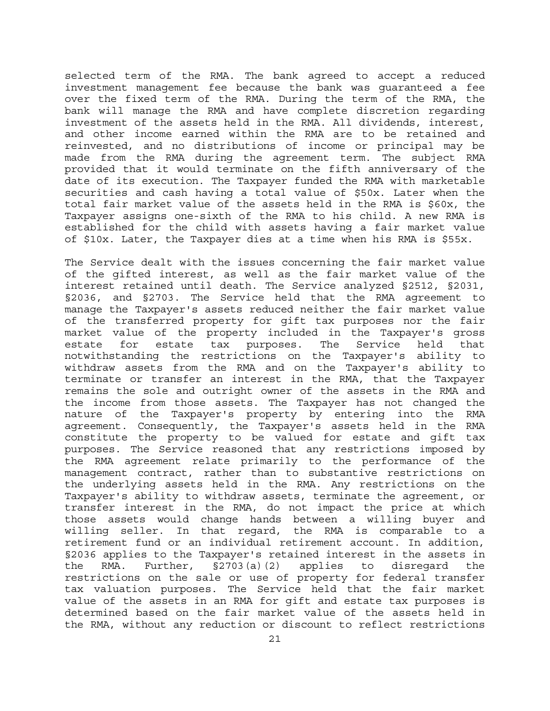selected term of the RMA. The bank agreed to accept a reduced investment management fee because the bank was guaranteed a fee over the fixed term of the RMA. During the term of the RMA, the bank will manage the RMA and have complete discretion regarding investment of the assets held in the RMA. All dividends, interest, and other income earned within the RMA are to be retained and reinvested, and no distributions of income or principal may be made from the RMA during the agreement term. The subject RMA provided that it would terminate on the fifth anniversary of the date of its execution. The Taxpayer funded the RMA with marketable securities and cash having a total value of \$50x. Later when the total fair market value of the assets held in the RMA is \$60x, the Taxpayer assigns one-sixth of the RMA to his child. A new RMA is established for the child with assets having a fair market value of \$10x. Later, the Taxpayer dies at a time when his RMA is \$55x.

The Service dealt with the issues concerning the fair market value of the gifted interest, as well as the fair market value of the interest retained until death. The Service analyzed §2512, §2031, §2036, and §2703. The Service held that the RMA agreement to manage the Taxpayer's assets reduced neither the fair market value of the transferred property for gift tax purposes nor the fair market value of the property included in the Taxpayer's gross estate for estate tax purposes. The Service held that notwithstanding the restrictions on the Taxpayer's ability to withdraw assets from the RMA and on the Taxpayer's ability to terminate or transfer an interest in the RMA, that the Taxpayer remains the sole and outright owner of the assets in the RMA and the income from those assets. The Taxpayer has not changed the nature of the Taxpayer's property by entering into the RMA agreement. Consequently, the Taxpayer's assets held in the RMA constitute the property to be valued for estate and gift tax purposes. The Service reasoned that any restrictions imposed by the RMA agreement relate primarily to the performance of the management contract, rather than to substantive restrictions on the underlying assets held in the RMA. Any restrictions on the Taxpayer's ability to withdraw assets, terminate the agreement, or transfer interest in the RMA, do not impact the price at which those assets would change hands between a willing buyer and willing seller. In that regard, the RMA is comparable to a retirement fund or an individual retirement account. In addition, §2036 applies to the Taxpayer's retained interest in the assets in the RMA. Further, §2703(a)(2) applies to disregard the restrictions on the sale or use of property for federal transfer tax valuation purposes. The Service held that the fair market value of the assets in an RMA for gift and estate tax purposes is determined based on the fair market value of the assets held in the RMA, without any reduction or discount to reflect restrictions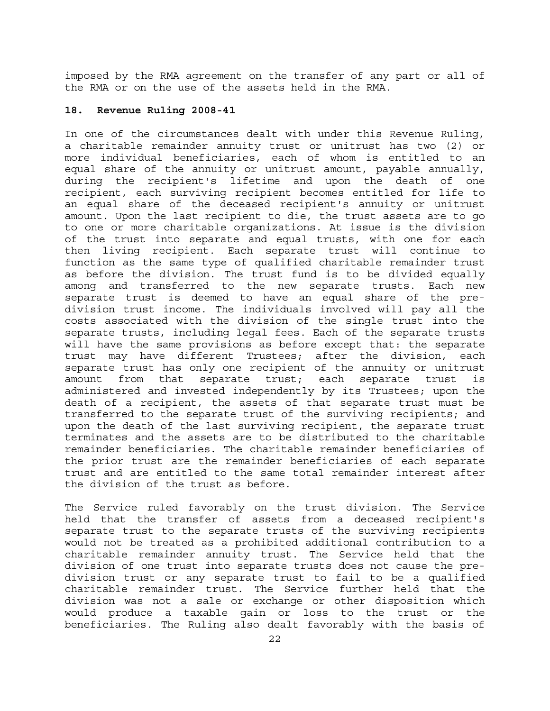imposed by the RMA agreement on the transfer of any part or all of the RMA or on the use of the assets held in the RMA.

## **18. Revenue Ruling 2008-41**

In one of the circumstances dealt with under this Revenue Ruling, a charitable remainder annuity trust or unitrust has two (2) or more individual beneficiaries, each of whom is entitled to an equal share of the annuity or unitrust amount, payable annually, during the recipient's lifetime and upon the death of one recipient, each surviving recipient becomes entitled for life to an equal share of the deceased recipient's annuity or unitrust amount. Upon the last recipient to die, the trust assets are to go to one or more charitable organizations. At issue is the division of the trust into separate and equal trusts, with one for each then living recipient. Each separate trust will continue to function as the same type of qualified charitable remainder trust as before the division. The trust fund is to be divided equally among and transferred to the new separate trusts. Each new separate trust is deemed to have an equal share of the predivision trust income. The individuals involved will pay all the costs associated with the division of the single trust into the separate trusts, including legal fees. Each of the separate trusts will have the same provisions as before except that: the separate trust may have different Trustees; after the division, each separate trust has only one recipient of the annuity or unitrust amount from that separate trust; each separate trust is administered and invested independently by its Trustees; upon the death of a recipient, the assets of that separate trust must be transferred to the separate trust of the surviving recipients; and upon the death of the last surviving recipient, the separate trust terminates and the assets are to be distributed to the charitable remainder beneficiaries. The charitable remainder beneficiaries of the prior trust are the remainder beneficiaries of each separate trust and are entitled to the same total remainder interest after the division of the trust as before.

The Service ruled favorably on the trust division. The Service held that the transfer of assets from a deceased recipient's separate trust to the separate trusts of the surviving recipients would not be treated as a prohibited additional contribution to a charitable remainder annuity trust. The Service held that the division of one trust into separate trusts does not cause the predivision trust or any separate trust to fail to be a qualified charitable remainder trust. The Service further held that the division was not a sale or exchange or other disposition which would produce a taxable gain or loss to the trust or the beneficiaries. The Ruling also dealt favorably with the basis of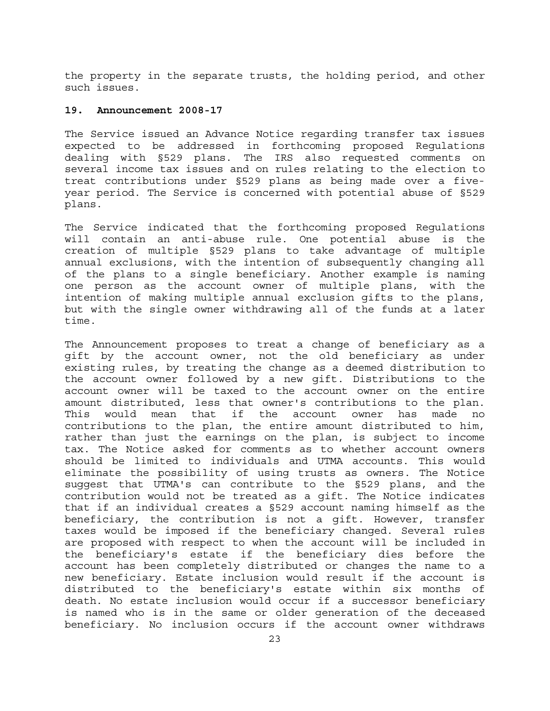the property in the separate trusts, the holding period, and other such issues.

## **19. Announcement 2008-17**

The Service issued an Advance Notice regarding transfer tax issues expected to be addressed in forthcoming proposed Regulations dealing with §529 plans. The IRS also requested comments on several income tax issues and on rules relating to the election to treat contributions under §529 plans as being made over a fiveyear period. The Service is concerned with potential abuse of §529 plans.

The Service indicated that the forthcoming proposed Regulations will contain an anti-abuse rule. One potential abuse is the creation of multiple §529 plans to take advantage of multiple annual exclusions, with the intention of subsequently changing all of the plans to a single beneficiary. Another example is naming one person as the account owner of multiple plans, with the intention of making multiple annual exclusion gifts to the plans, but with the single owner withdrawing all of the funds at a later time.

The Announcement proposes to treat a change of beneficiary as a gift by the account owner, not the old beneficiary as under existing rules, by treating the change as a deemed distribution to the account owner followed by a new gift. Distributions to the account owner will be taxed to the account owner on the entire amount distributed, less that owner's contributions to the plan. This would mean that if the account owner has made no contributions to the plan, the entire amount distributed to him, rather than just the earnings on the plan, is subject to income tax. The Notice asked for comments as to whether account owners should be limited to individuals and UTMA accounts. This would eliminate the possibility of using trusts as owners. The Notice suggest that UTMA's can contribute to the §529 plans, and the contribution would not be treated as a gift. The Notice indicates that if an individual creates a §529 account naming himself as the beneficiary, the contribution is not a gift. However, transfer taxes would be imposed if the beneficiary changed. Several rules are proposed with respect to when the account will be included in the beneficiary's estate if the beneficiary dies before the account has been completely distributed or changes the name to a new beneficiary. Estate inclusion would result if the account is distributed to the beneficiary's estate within six months of death. No estate inclusion would occur if a successor beneficiary is named who is in the same or older generation of the deceased beneficiary. No inclusion occurs if the account owner withdraws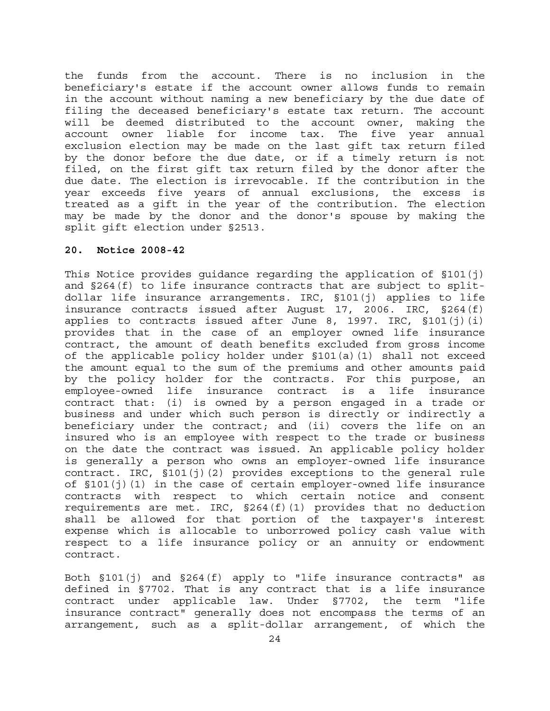the funds from the account. There is no inclusion in the beneficiary's estate if the account owner allows funds to remain in the account without naming a new beneficiary by the due date of filing the deceased beneficiary's estate tax return. The account will be deemed distributed to the account owner, making the account owner liable for income tax. The five year annual exclusion election may be made on the last gift tax return filed by the donor before the due date, or if a timely return is not filed, on the first gift tax return filed by the donor after the due date. The election is irrevocable. If the contribution in the year exceeds five years of annual exclusions, the excess is treated as a gift in the year of the contribution. The election may be made by the donor and the donor's spouse by making the split gift election under §2513.

## **20. Notice 2008-42**

This Notice provides guidance regarding the application of §101(j) and §264(f) to life insurance contracts that are subject to splitdollar life insurance arrangements. IRC, §101(j) applies to life insurance contracts issued after August 17, 2006. IRC, §264(f) applies to contracts issued after June 8, 1997. IRC, §101(j)(i) provides that in the case of an employer owned life insurance contract, the amount of death benefits excluded from gross income of the applicable policy holder under §101(a)(1) shall not exceed the amount equal to the sum of the premiums and other amounts paid by the policy holder for the contracts. For this purpose, an employee-owned life insurance contract is a life insurance contract that: (i) is owned by a person engaged in a trade or business and under which such person is directly or indirectly a beneficiary under the contract; and (ii) covers the life on an insured who is an employee with respect to the trade or business on the date the contract was issued. An applicable policy holder is generally a person who owns an employer-owned life insurance contract. IRC, §101(j)(2) provides exceptions to the general rule of §101(j)(1) in the case of certain employer-owned life insurance contracts with respect to which certain notice and consent requirements are met. IRC, §264(f)(1) provides that no deduction shall be allowed for that portion of the taxpayer's interest expense which is allocable to unborrowed policy cash value with respect to a life insurance policy or an annuity or endowment contract.

Both §101(j) and §264(f) apply to "life insurance contracts" as defined in §7702. That is any contract that is a life insurance contract under applicable law. Under §7702, the term "life insurance contract" generally does not encompass the terms of an arrangement, such as a split-dollar arrangement, of which the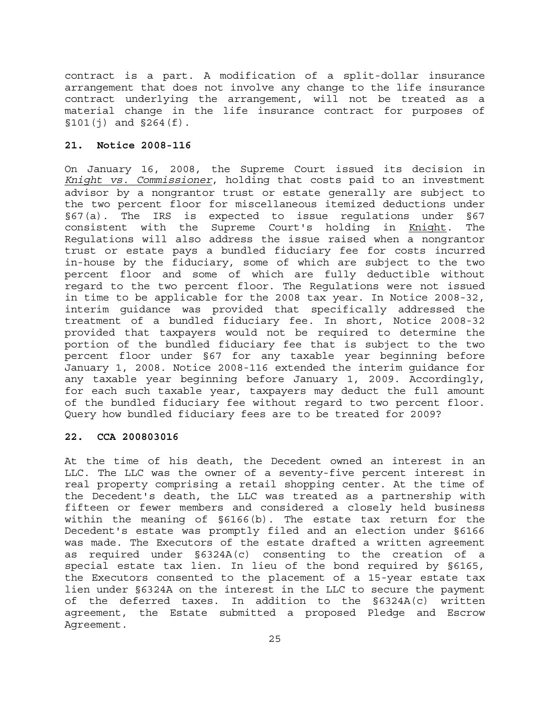contract is a part. A modification of a split-dollar insurance arrangement that does not involve any change to the life insurance contract underlying the arrangement, will not be treated as a material change in the life insurance contract for purposes of  $$101(i)$  and  $$264(f)$ .

## **21. Notice 2008-116**

On January 16, 2008, the Supreme Court issued its decision in *Knight vs. Commissioner*, holding that costs paid to an investment advisor by a nongrantor trust or estate generally are subject to the two percent floor for miscellaneous itemized deductions under §67(a). The IRS is expected to issue regulations under §67 consistent with the Supreme Court's holding in Knight. The Regulations will also address the issue raised when a nongrantor trust or estate pays a bundled fiduciary fee for costs incurred in-house by the fiduciary, some of which are subject to the two percent floor and some of which are fully deductible without regard to the two percent floor. The Regulations were not issued in time to be applicable for the 2008 tax year. In Notice 2008-32, interim guidance was provided that specifically addressed the treatment of a bundled fiduciary fee. In short, Notice 2008-32 provided that taxpayers would not be required to determine the portion of the bundled fiduciary fee that is subject to the two percent floor under §67 for any taxable year beginning before January 1, 2008. Notice 2008-116 extended the interim guidance for any taxable year beginning before January 1, 2009. Accordingly, for each such taxable year, taxpayers may deduct the full amount of the bundled fiduciary fee without regard to two percent floor. Query how bundled fiduciary fees are to be treated for 2009?

## **22. CCA 200803016**

At the time of his death, the Decedent owned an interest in an LLC. The LLC was the owner of a seventy-five percent interest in real property comprising a retail shopping center. At the time of the Decedent's death, the LLC was treated as a partnership with fifteen or fewer members and considered a closely held business within the meaning of §6166(b). The estate tax return for the Decedent's estate was promptly filed and an election under §6166 was made. The Executors of the estate drafted a written agreement as required under §6324A(c) consenting to the creation of a special estate tax lien. In lieu of the bond required by §6165, the Executors consented to the placement of a 15-year estate tax lien under §6324A on the interest in the LLC to secure the payment of the deferred taxes. In addition to the §6324A(c) written agreement, the Estate submitted a proposed Pledge and Escrow Agreement.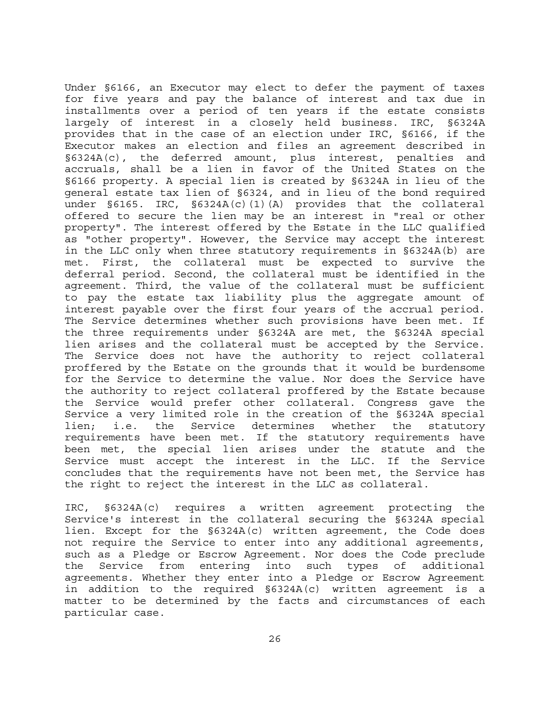Under §6166, an Executor may elect to defer the payment of taxes for five years and pay the balance of interest and tax due in installments over a period of ten years if the estate consists largely of interest in a closely held business. IRC, §6324A provides that in the case of an election under IRC, §6166, if the Executor makes an election and files an agreement described in §6324A(c), the deferred amount, plus interest, penalties and accruals, shall be a lien in favor of the United States on the §6166 property. A special lien is created by §6324A in lieu of the general estate tax lien of §6324, and in lieu of the bond required under §6165. IRC, §6324A(c)(1)(A) provides that the collateral offered to secure the lien may be an interest in "real or other property". The interest offered by the Estate in the LLC qualified as "other property". However, the Service may accept the interest in the LLC only when three statutory requirements in §6324A(b) are met. First, the collateral must be expected to survive the deferral period. Second, the collateral must be identified in the agreement. Third, the value of the collateral must be sufficient to pay the estate tax liability plus the aggregate amount of interest payable over the first four years of the accrual period. The Service determines whether such provisions have been met. If the three requirements under §6324A are met, the §6324A special lien arises and the collateral must be accepted by the Service. The Service does not have the authority to reject collateral proffered by the Estate on the grounds that it would be burdensome for the Service to determine the value. Nor does the Service have the authority to reject collateral proffered by the Estate because the Service would prefer other collateral. Congress gave the Service a very limited role in the creation of the §6324A special lien; i.e. the Service determines whether the statutory requirements have been met. If the statutory requirements have been met, the special lien arises under the statute and the Service must accept the interest in the LLC. If the Service concludes that the requirements have not been met, the Service has the right to reject the interest in the LLC as collateral.

IRC, §6324A(c) requires a written agreement protecting the Service's interest in the collateral securing the §6324A special lien. Except for the §6324A(c) written agreement, the Code does not require the Service to enter into any additional agreements, such as a Pledge or Escrow Agreement. Nor does the Code preclude the Service from entering into such types of additional agreements. Whether they enter into a Pledge or Escrow Agreement in addition to the required §6324A(c) written agreement is a matter to be determined by the facts and circumstances of each particular case.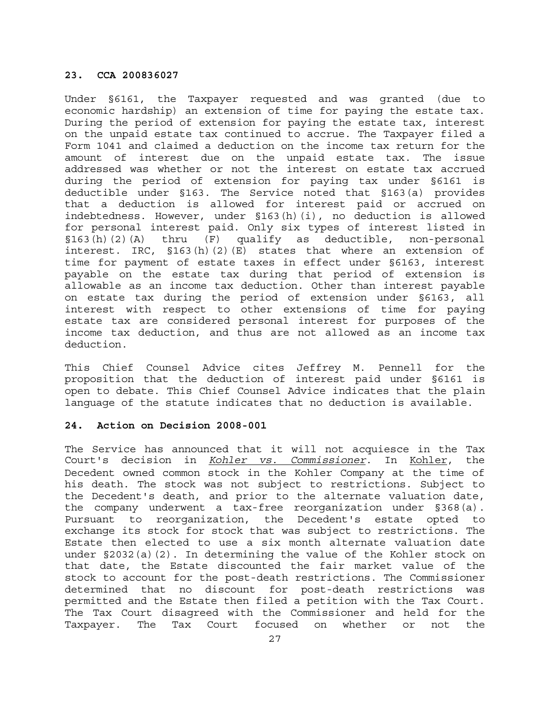## **23. CCA 200836027**

Under §6161, the Taxpayer requested and was granted (due to economic hardship) an extension of time for paying the estate tax. During the period of extension for paying the estate tax, interest on the unpaid estate tax continued to accrue. The Taxpayer filed a Form 1041 and claimed a deduction on the income tax return for the amount of interest due on the unpaid estate tax. The issue addressed was whether or not the interest on estate tax accrued during the period of extension for paying tax under §6161 is deductible under §163. The Service noted that §163(a) provides that a deduction is allowed for interest paid or accrued on indebtedness. However, under §163(h)(i), no deduction is allowed for personal interest paid. Only six types of interest listed in §163(h)(2)(A) thru (F) qualify as deductible, non-personal interest. IRC, §163(h)(2)(E) states that where an extension of time for payment of estate taxes in effect under §6163, interest payable on the estate tax during that period of extension is allowable as an income tax deduction. Other than interest payable on estate tax during the period of extension under §6163, all interest with respect to other extensions of time for paying estate tax are considered personal interest for purposes of the income tax deduction, and thus are not allowed as an income tax deduction.

This Chief Counsel Advice cites Jeffrey M. Pennell for the proposition that the deduction of interest paid under §6161 is open to debate. This Chief Counsel Advice indicates that the plain language of the statute indicates that no deduction is available.

## **24. Action on Decision 2008-001**

The Service has announced that it will not acquiesce in the Tax Court's decision in *Kohler vs. Commissioner*. In Kohler, the Decedent owned common stock in the Kohler Company at the time of his death. The stock was not subject to restrictions. Subject to the Decedent's death, and prior to the alternate valuation date, the company underwent a tax-free reorganization under §368(a). Pursuant to reorganization, the Decedent's estate opted to exchange its stock for stock that was subject to restrictions. The Estate then elected to use a six month alternate valuation date under §2032(a)(2). In determining the value of the Kohler stock on that date, the Estate discounted the fair market value of the stock to account for the post-death restrictions. The Commissioner determined that no discount for post-death restrictions was permitted and the Estate then filed a petition with the Tax Court. The Tax Court disagreed with the Commissioner and held for the Taxpayer. The Tax Court focused on whether or not the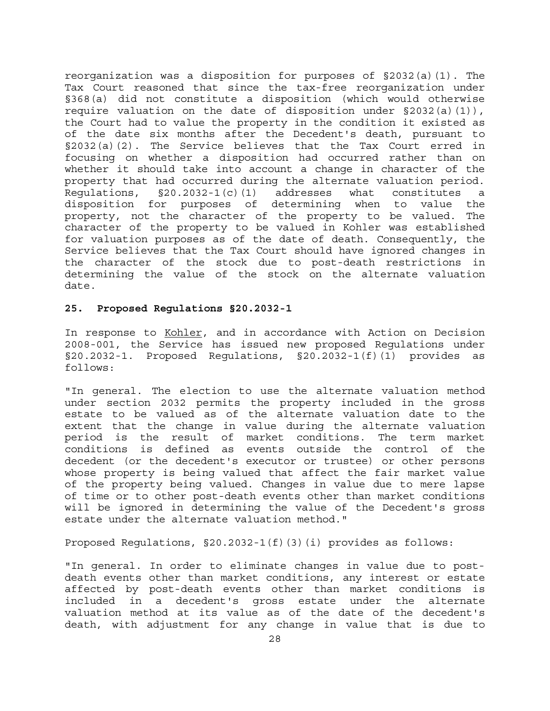reorganization was a disposition for purposes of §2032(a)(1). The Tax Court reasoned that since the tax-free reorganization under §368(a) did not constitute a disposition (which would otherwise require valuation on the date of disposition under  $\S 2032(a)(1)$ , the Court had to value the property in the condition it existed as of the date six months after the Decedent's death, pursuant to §2032(a)(2). The Service believes that the Tax Court erred in focusing on whether a disposition had occurred rather than on whether it should take into account a change in character of the property that had occurred during the alternate valuation period. Regulations, §20.2032-1(c)(1) addresses what constitutes a disposition for purposes of determining when to value the property, not the character of the property to be valued. The character of the property to be valued in Kohler was established for valuation purposes as of the date of death. Consequently, the Service believes that the Tax Court should have ignored changes in the character of the stock due to post-death restrictions in determining the value of the stock on the alternate valuation date.

## **25. Proposed Regulations §20.2032-1**

In response to Kohler, and in accordance with Action on Decision 2008-001, the Service has issued new proposed Regulations under §20.2032-1. Proposed Regulations, §20.2032-1(f)(1) provides as follows:

"In general. The election to use the alternate valuation method under section 2032 permits the property included in the gross estate to be valued as of the alternate valuation date to the extent that the change in value during the alternate valuation period is the result of market conditions. The term market conditions is defined as events outside the control of the decedent (or the decedent's executor or trustee) or other persons whose property is being valued that affect the fair market value of the property being valued. Changes in value due to mere lapse of time or to other post-death events other than market conditions will be ignored in determining the value of the Decedent's gross estate under the alternate valuation method."

Proposed Regulations, §20.2032-1(f)(3)(i) provides as follows:

"In general. In order to eliminate changes in value due to postdeath events other than market conditions, any interest or estate affected by post-death events other than market conditions is included in a decedent's gross estate under the alternate valuation method at its value as of the date of the decedent's death, with adjustment for any change in value that is due to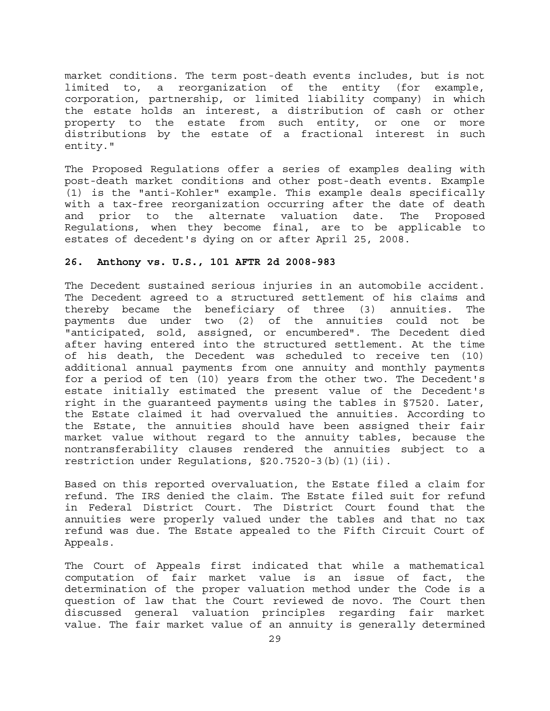market conditions. The term post-death events includes, but is not limited to, a reorganization of the entity (for example, corporation, partnership, or limited liability company) in which the estate holds an interest, a distribution of cash or other property to the estate from such entity, or one or more distributions by the estate of a fractional interest in such entity."

The Proposed Regulations offer a series of examples dealing with post-death market conditions and other post-death events. Example (1) is the "anti-Kohler" example. This example deals specifically with a tax-free reorganization occurring after the date of death and prior to the alternate valuation date. The Proposed Regulations, when they become final, are to be applicable to estates of decedent's dying on or after April 25, 2008.

## **26. Anthony vs. U.S., 101 AFTR 2d 2008-983**

The Decedent sustained serious injuries in an automobile accident. The Decedent agreed to a structured settlement of his claims and thereby became the beneficiary of three (3) annuities. The payments due under two (2) of the annuities could not be "anticipated, sold, assigned, or encumbered". The Decedent died after having entered into the structured settlement. At the time of his death, the Decedent was scheduled to receive ten (10) additional annual payments from one annuity and monthly payments for a period of ten (10) years from the other two. The Decedent's estate initially estimated the present value of the Decedent's right in the guaranteed payments using the tables in §7520. Later, the Estate claimed it had overvalued the annuities. According to the Estate, the annuities should have been assigned their fair market value without regard to the annuity tables, because the nontransferability clauses rendered the annuities subject to a restriction under Regulations, §20.7520-3(b)(1)(ii).

Based on this reported overvaluation, the Estate filed a claim for refund. The IRS denied the claim. The Estate filed suit for refund in Federal District Court. The District Court found that the annuities were properly valued under the tables and that no tax refund was due. The Estate appealed to the Fifth Circuit Court of Appeals.

The Court of Appeals first indicated that while a mathematical computation of fair market value is an issue of fact, the determination of the proper valuation method under the Code is a question of law that the Court reviewed de novo. The Court then discussed general valuation principles regarding fair market value. The fair market value of an annuity is generally determined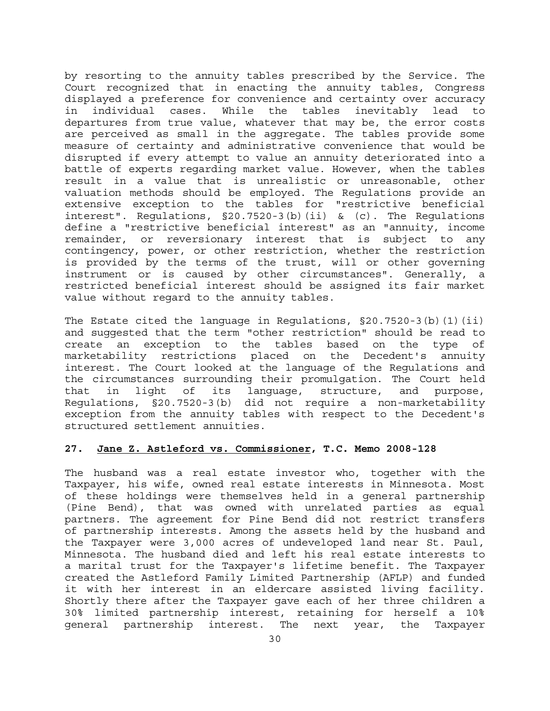by resorting to the annuity tables prescribed by the Service. The Court recognized that in enacting the annuity tables, Congress displayed a preference for convenience and certainty over accuracy in individual cases. While the tables inevitably lead to departures from true value, whatever that may be, the error costs are perceived as small in the aggregate. The tables provide some measure of certainty and administrative convenience that would be disrupted if every attempt to value an annuity deteriorated into a battle of experts regarding market value. However, when the tables result in a value that is unrealistic or unreasonable, other valuation methods should be employed. The Regulations provide an extensive exception to the tables for "restrictive beneficial interest". Regulations, §20.7520-3(b)(ii) & (c). The Regulations define a "restrictive beneficial interest" as an "annuity, income remainder, or reversionary interest that is subject to any contingency, power, or other restriction, whether the restriction is provided by the terms of the trust, will or other governing instrument or is caused by other circumstances". Generally, a restricted beneficial interest should be assigned its fair market value without regard to the annuity tables.

The Estate cited the language in Regulations, §20.7520-3(b)(1)(ii) and suggested that the term "other restriction" should be read to create an exception to the tables based on the type of marketability restrictions placed on the Decedent's annuity interest. The Court looked at the language of the Regulations and the circumstances surrounding their promulgation. The Court held that in light of its language, structure, and purpose, Regulations, §20.7520-3(b) did not require a non-marketability exception from the annuity tables with respect to the Decedent's structured settlement annuities.

#### **27. Jane Z. Astleford vs. Commissioner, T.C. Memo 2008-128**

The husband was a real estate investor who, together with the Taxpayer, his wife, owned real estate interests in Minnesota. Most of these holdings were themselves held in a general partnership (Pine Bend), that was owned with unrelated parties as equal partners. The agreement for Pine Bend did not restrict transfers of partnership interests. Among the assets held by the husband and the Taxpayer were 3,000 acres of undeveloped land near St. Paul, Minnesota. The husband died and left his real estate interests to a marital trust for the Taxpayer's lifetime benefit. The Taxpayer created the Astleford Family Limited Partnership (AFLP) and funded it with her interest in an eldercare assisted living facility. Shortly there after the Taxpayer gave each of her three children a 30% limited partnership interest, retaining for herself a 10% general partnership interest. The next year, the Taxpayer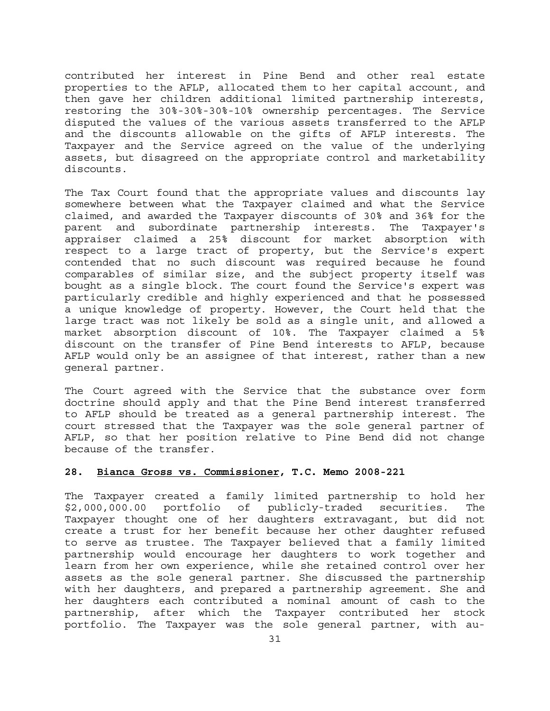contributed her interest in Pine Bend and other real estate properties to the AFLP, allocated them to her capital account, and then gave her children additional limited partnership interests, restoring the 30%-30%-30%-10% ownership percentages. The Service disputed the values of the various assets transferred to the AFLP and the discounts allowable on the gifts of AFLP interests. The Taxpayer and the Service agreed on the value of the underlying assets, but disagreed on the appropriate control and marketability discounts.

The Tax Court found that the appropriate values and discounts lay somewhere between what the Taxpayer claimed and what the Service claimed, and awarded the Taxpayer discounts of 30% and 36% for the parent and subordinate partnership interests. The Taxpayer's appraiser claimed a 25% discount for market absorption with respect to a large tract of property, but the Service's expert contended that no such discount was required because he found comparables of similar size, and the subject property itself was bought as a single block. The court found the Service's expert was particularly credible and highly experienced and that he possessed a unique knowledge of property. However, the Court held that the large tract was not likely be sold as a single unit, and allowed a market absorption discount of 10%. The Taxpayer claimed a 5% discount on the transfer of Pine Bend interests to AFLP, because AFLP would only be an assignee of that interest, rather than a new general partner.

The Court agreed with the Service that the substance over form doctrine should apply and that the Pine Bend interest transferred to AFLP should be treated as a general partnership interest. The court stressed that the Taxpayer was the sole general partner of AFLP, so that her position relative to Pine Bend did not change because of the transfer.

## **28. Bianca Gross vs. Commissioner, T.C. Memo 2008-221**

The Taxpayer created a family limited partnership to hold her \$2,000,000.00 portfolio of publicly-traded securities. The Taxpayer thought one of her daughters extravagant, but did not create a trust for her benefit because her other daughter refused to serve as trustee. The Taxpayer believed that a family limited partnership would encourage her daughters to work together and learn from her own experience, while she retained control over her assets as the sole general partner. She discussed the partnership with her daughters, and prepared a partnership agreement. She and her daughters each contributed a nominal amount of cash to the partnership, after which the Taxpayer contributed her stock portfolio. The Taxpayer was the sole general partner, with au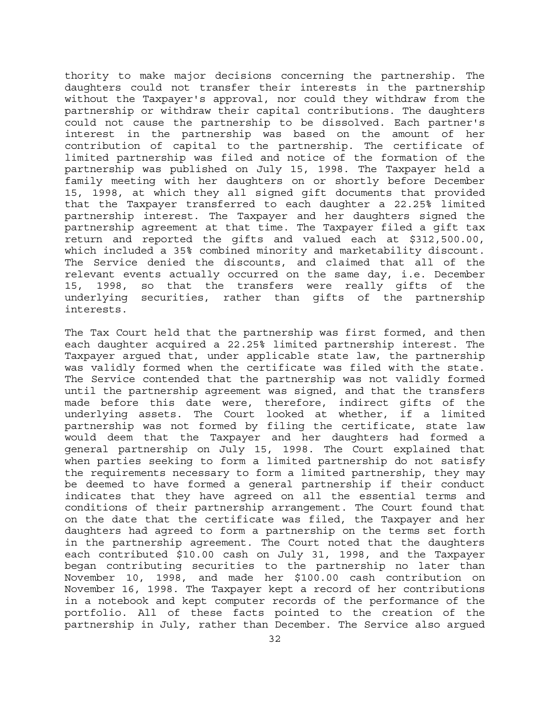thority to make major decisions concerning the partnership. The daughters could not transfer their interests in the partnership without the Taxpayer's approval, nor could they withdraw from the partnership or withdraw their capital contributions. The daughters could not cause the partnership to be dissolved. Each partner's interest in the partnership was based on the amount of her contribution of capital to the partnership. The certificate of limited partnership was filed and notice of the formation of the partnership was published on July 15, 1998. The Taxpayer held a family meeting with her daughters on or shortly before December 15, 1998, at which they all signed gift documents that provided that the Taxpayer transferred to each daughter a 22.25% limited partnership interest. The Taxpayer and her daughters signed the partnership agreement at that time. The Taxpayer filed a gift tax return and reported the gifts and valued each at \$312,500.00, which included a 35% combined minority and marketability discount. The Service denied the discounts, and claimed that all of the relevant events actually occurred on the same day, i.e. December 15, 1998, so that the transfers were really gifts of the underlying securities, rather than gifts of the partnership interests.

The Tax Court held that the partnership was first formed, and then each daughter acquired a 22.25% limited partnership interest. The Taxpayer argued that, under applicable state law, the partnership was validly formed when the certificate was filed with the state. The Service contended that the partnership was not validly formed until the partnership agreement was signed, and that the transfers made before this date were, therefore, indirect gifts of the underlying assets. The Court looked at whether, if a limited partnership was not formed by filing the certificate, state law would deem that the Taxpayer and her daughters had formed a general partnership on July 15, 1998. The Court explained that when parties seeking to form a limited partnership do not satisfy the requirements necessary to form a limited partnership, they may be deemed to have formed a general partnership if their conduct indicates that they have agreed on all the essential terms and conditions of their partnership arrangement. The Court found that on the date that the certificate was filed, the Taxpayer and her daughters had agreed to form a partnership on the terms set forth in the partnership agreement. The Court noted that the daughters each contributed \$10.00 cash on July 31, 1998, and the Taxpayer began contributing securities to the partnership no later than November 10, 1998, and made her \$100.00 cash contribution on November 16, 1998. The Taxpayer kept a record of her contributions in a notebook and kept computer records of the performance of the portfolio. All of these facts pointed to the creation of the partnership in July, rather than December. The Service also argued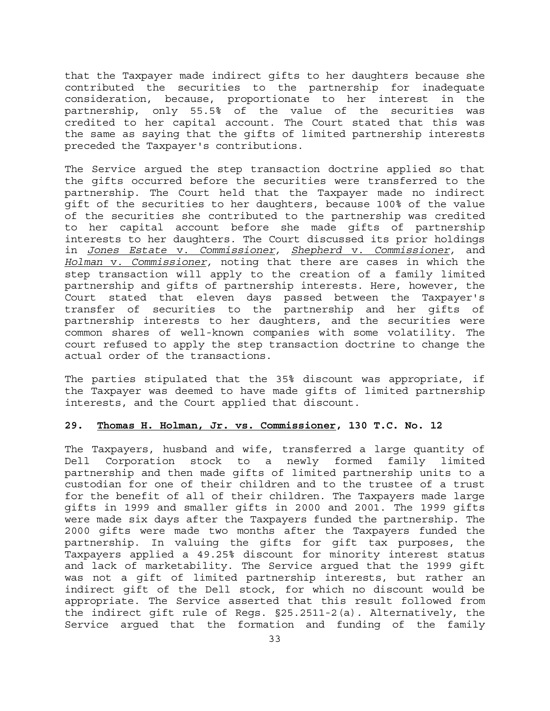that the Taxpayer made indirect gifts to her daughters because she contributed the securities to the partnership for inadequate consideration, because, proportionate to her interest in the partnership, only 55.5% of the value of the securities was credited to her capital account. The Court stated that this was the same as saying that the gifts of limited partnership interests preceded the Taxpayer's contributions.

The Service argued the step transaction doctrine applied so that the gifts occurred before the securities were transferred to the partnership. The Court held that the Taxpayer made no indirect gift of the securities to her daughters, because 100% of the value of the securities she contributed to the partnership was credited to her capital account before she made gifts of partnership interests to her daughters. The Court discussed its prior holdings in *Jones Estate* v. *Commissioner, Shepherd* v. *Commissioner,* and *Holman* v. *Commissioner,* noting that there are cases in which the step transaction will apply to the creation of a family limited partnership and gifts of partnership interests. Here, however, the Court stated that eleven days passed between the Taxpayer's transfer of securities to the partnership and her gifts of partnership interests to her daughters, and the securities were common shares of well-known companies with some volatility. The court refused to apply the step transaction doctrine to change the actual order of the transactions.

The parties stipulated that the 35% discount was appropriate, if the Taxpayer was deemed to have made gifts of limited partnership interests, and the Court applied that discount.

## **29. Thomas H. Holman, Jr. vs. Commissioner, 130 T.C. No. 12**

The Taxpayers, husband and wife, transferred a large quantity of Dell Corporation stock to a newly formed family limited partnership and then made gifts of limited partnership units to a custodian for one of their children and to the trustee of a trust for the benefit of all of their children. The Taxpayers made large gifts in 1999 and smaller gifts in 2000 and 2001. The 1999 gifts were made six days after the Taxpayers funded the partnership. The 2000 gifts were made two months after the Taxpayers funded the partnership. In valuing the gifts for gift tax purposes, the Taxpayers applied a 49.25% discount for minority interest status and lack of marketability. The Service argued that the 1999 gift was not a gift of limited partnership interests, but rather an indirect gift of the Dell stock, for which no discount would be appropriate. The Service asserted that this result followed from the indirect gift rule of Regs. §25.2511-2(a). Alternatively, the Service argued that the formation and funding of the family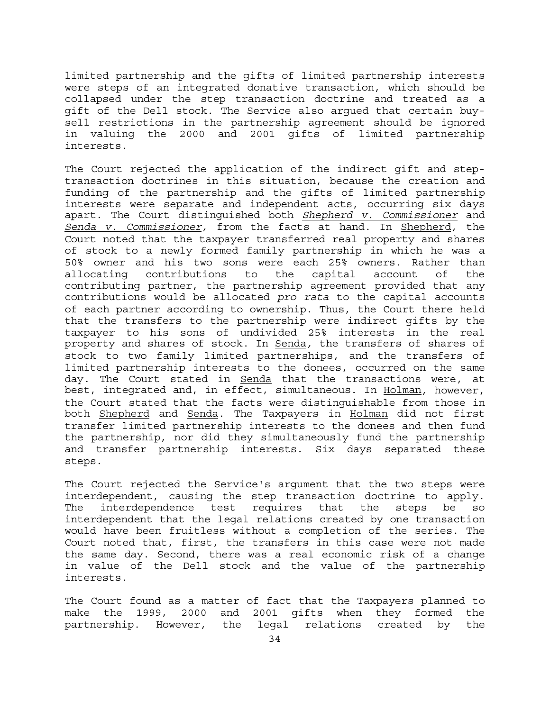limited partnership and the gifts of limited partnership interests were steps of an integrated donative transaction, which should be collapsed under the step transaction doctrine and treated as a gift of the Dell stock. The Service also argued that certain buysell restrictions in the partnership agreement should be ignored in valuing the 2000 and 2001 gifts of limited partnership interests.

The Court rejected the application of the indirect gift and steptransaction doctrines in this situation, because the creation and funding of the partnership and the gifts of limited partnership interests were separate and independent acts, occurring six days apart. The Court distinguished both *Shepherd v. Commissioner* and *Senda v. Commissioner,* from the facts at hand. In Shepherd*,* the Court noted that the taxpayer transferred real property and shares of stock to a newly formed family partnership in which he was a 50% owner and his two sons were each 25% owners. Rather than allocating contributions to the capital account of the contributing partner, the partnership agreement provided that any contributions would be allocated *pro rata* to the capital accounts of each partner according to ownership. Thus, the Court there held that the transfers to the partnership were indirect gifts by the taxpayer to his sons of undivided 25% interests in the real property and shares of stock. In Senda*,* the transfers of shares of stock to two family limited partnerships, and the transfers of limited partnership interests to the donees, occurred on the same day. The Court stated in Senda that the transactions were, at best, integrated and, in effect, simultaneous. In Holman*,* however, the Court stated that the facts were distinguishable from those in both Shepherd and Senda*.* The Taxpayers in Holman did not first transfer limited partnership interests to the donees and then fund the partnership, nor did they simultaneously fund the partnership and transfer partnership interests. Six days separated these steps.

The Court rejected the Service's argument that the two steps were interdependent, causing the step transaction doctrine to apply. The interdependence test requires that the steps be so interdependent that the legal relations created by one transaction would have been fruitless without a completion of the series. The Court noted that, first, the transfers in this case were not made the same day. Second, there was a real economic risk of a change in value of the Dell stock and the value of the partnership interests.

The Court found as a matter of fact that the Taxpayers planned to make the 1999, 2000 and 2001 gifts when they formed the partnership. However, the legal relations created by the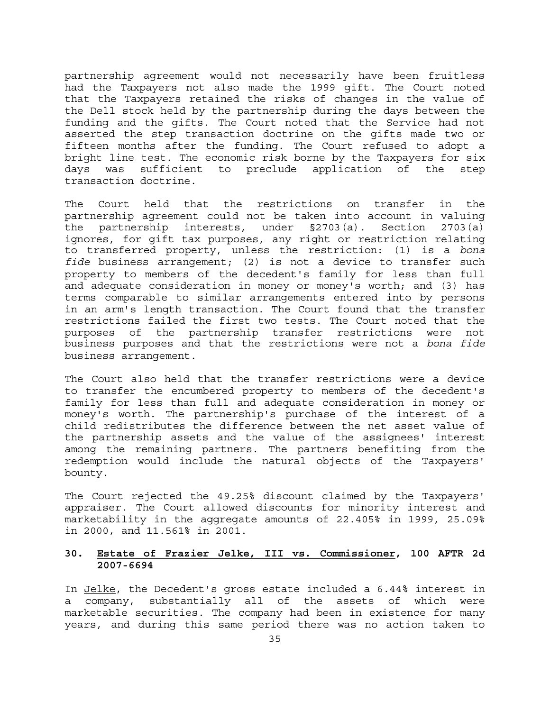partnership agreement would not necessarily have been fruitless had the Taxpayers not also made the 1999 gift. The Court noted that the Taxpayers retained the risks of changes in the value of the Dell stock held by the partnership during the days between the funding and the gifts. The Court noted that the Service had not asserted the step transaction doctrine on the gifts made two or fifteen months after the funding. The Court refused to adopt a bright line test. The economic risk borne by the Taxpayers for six days was sufficient to preclude application of the step transaction doctrine.

The Court held that the restrictions on transfer in the partnership agreement could not be taken into account in valuing the partnership interests, under §2703(a). Section 2703(a) ignores, for gift tax purposes, any right or restriction relating to transferred property, unless the restriction: (1) is a *bona fide* business arrangement; (2) is not a device to transfer such property to members of the decedent's family for less than full and adequate consideration in money or money's worth; and (3) has terms comparable to similar arrangements entered into by persons in an arm's length transaction. The Court found that the transfer restrictions failed the first two tests. The Court noted that the purposes of the partnership transfer restrictions were not business purposes and that the restrictions were not a *bona fide*  business arrangement.

The Court also held that the transfer restrictions were a device to transfer the encumbered property to members of the decedent's family for less than full and adequate consideration in money or money's worth. The partnership's purchase of the interest of a child redistributes the difference between the net asset value of the partnership assets and the value of the assignees' interest among the remaining partners. The partners benefiting from the redemption would include the natural objects of the Taxpayers' bounty.

The Court rejected the 49.25% discount claimed by the Taxpayers' appraiser. The Court allowed discounts for minority interest and marketability in the aggregate amounts of 22.405% in 1999, 25.09% in 2000, and 11.561% in 2001.

## **30. Estate of Frazier Jelke, III vs. Commissioner, 100 AFTR 2d 2007-6694**

In Jelke, the Decedent's gross estate included a 6.44% interest in a company, substantially all of the assets of which were marketable securities. The company had been in existence for many years, and during this same period there was no action taken to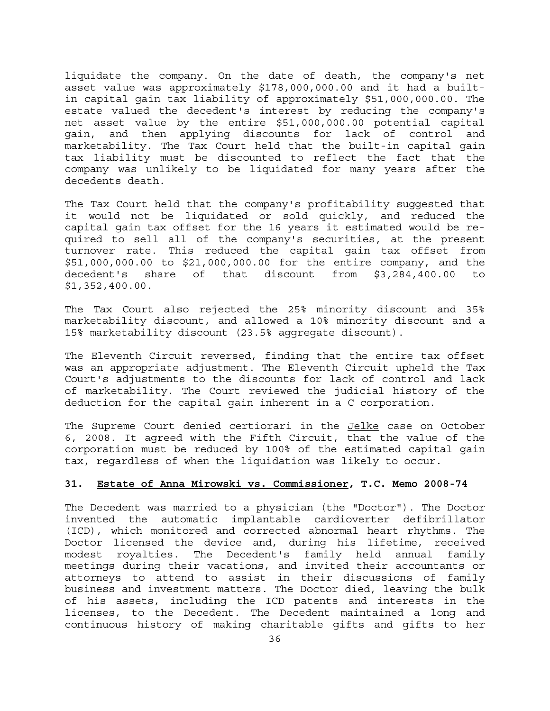liquidate the company. On the date of death, the company's net asset value was approximately \$178,000,000.00 and it had a builtin capital gain tax liability of approximately \$51,000,000.00. The estate valued the decedent's interest by reducing the company's net asset value by the entire \$51,000,000.00 potential capital gain, and then applying discounts for lack of control and marketability. The Tax Court held that the built-in capital gain tax liability must be discounted to reflect the fact that the company was unlikely to be liquidated for many years after the decedents death.

The Tax Court held that the company's profitability suggested that it would not be liquidated or sold quickly, and reduced the capital gain tax offset for the 16 years it estimated would be required to sell all of the company's securities, at the present turnover rate. This reduced the capital gain tax offset from \$51,000,000.00 to \$21,000,000.00 for the entire company, and the decedent's share of that discount from \$3,284,400.00 to \$1,352,400.00.

The Tax Court also rejected the 25% minority discount and 35% marketability discount, and allowed a 10% minority discount and a 15% marketability discount (23.5% aggregate discount).

The Eleventh Circuit reversed, finding that the entire tax offset was an appropriate adjustment. The Eleventh Circuit upheld the Tax Court's adjustments to the discounts for lack of control and lack of marketability. The Court reviewed the judicial history of the deduction for the capital gain inherent in a C corporation.

The Supreme Court denied certiorari in the Jelke case on October 6, 2008. It agreed with the Fifth Circuit, that the value of the corporation must be reduced by 100% of the estimated capital gain tax, regardless of when the liquidation was likely to occur.

# **31. Estate of Anna Mirowski vs. Commissioner, T.C. Memo 2008-74**

The Decedent was married to a physician (the "Doctor"). The Doctor invented the automatic implantable cardioverter defibrillator (ICD), which monitored and corrected abnormal heart rhythms. The Doctor licensed the device and, during his lifetime, received modest royalties. The Decedent's family held annual family meetings during their vacations, and invited their accountants or attorneys to attend to assist in their discussions of family business and investment matters. The Doctor died, leaving the bulk of his assets, including the ICD patents and interests in the licenses, to the Decedent. The Decedent maintained a long and continuous history of making charitable gifts and gifts to her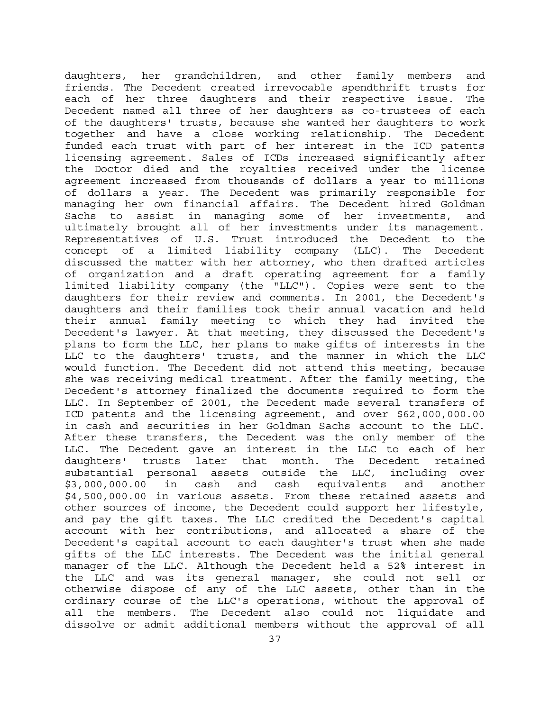daughters, her grandchildren, and other family members and friends. The Decedent created irrevocable spendthrift trusts for each of her three daughters and their respective issue. The Decedent named all three of her daughters as co-trustees of each of the daughters' trusts, because she wanted her daughters to work together and have a close working relationship. The Decedent funded each trust with part of her interest in the ICD patents licensing agreement. Sales of ICDs increased significantly after the Doctor died and the royalties received under the license agreement increased from thousands of dollars a year to millions of dollars a year. The Decedent was primarily responsible for managing her own financial affairs. The Decedent hired Goldman Sachs to assist in managing some of her investments, and ultimately brought all of her investments under its management. Representatives of U.S. Trust introduced the Decedent to the concept of a limited liability company (LLC). The Decedent discussed the matter with her attorney, who then drafted articles of organization and a draft operating agreement for a family limited liability company (the "LLC"). Copies were sent to the daughters for their review and comments. In 2001, the Decedent's daughters and their families took their annual vacation and held their annual family meeting to which they had invited the Decedent's lawyer. At that meeting, they discussed the Decedent's plans to form the LLC, her plans to make gifts of interests in the LLC to the daughters' trusts, and the manner in which the LLC would function. The Decedent did not attend this meeting, because she was receiving medical treatment. After the family meeting, the Decedent's attorney finalized the documents required to form the LLC. In September of 2001, the Decedent made several transfers of ICD patents and the licensing agreement, and over \$62,000,000.00 in cash and securities in her Goldman Sachs account to the LLC. After these transfers, the Decedent was the only member of the LLC. The Decedent gave an interest in the LLC to each of her daughters' trusts later that month. The Decedent retained substantial personal assets outside the LLC, including over \$3,000,000.00 in cash and cash equivalents and another \$4,500,000.00 in various assets. From these retained assets and other sources of income, the Decedent could support her lifestyle, and pay the gift taxes. The LLC credited the Decedent's capital account with her contributions, and allocated a share of the Decedent's capital account to each daughter's trust when she made gifts of the LLC interests. The Decedent was the initial general manager of the LLC. Although the Decedent held a 52% interest in the LLC and was its general manager, she could not sell or otherwise dispose of any of the LLC assets, other than in the ordinary course of the LLC's operations, without the approval of all the members. The Decedent also could not liquidate and dissolve or admit additional members without the approval of all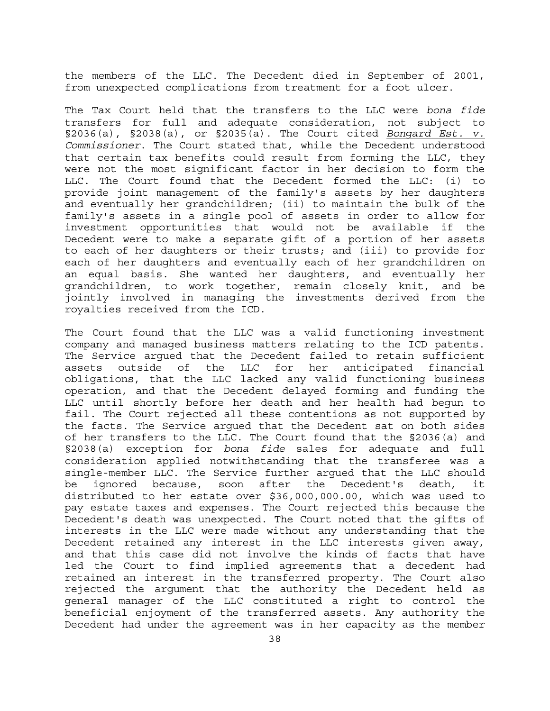the members of the LLC. The Decedent died in September of 2001, from unexpected complications from treatment for a foot ulcer.

The Tax Court held that the transfers to the LLC were *bona fide*  transfers for full and adequate consideration, not subject to §2036(a), §2038(a), or §2035(a). The Court cited *Bongard Est. v. Commissioner*. The Court stated that, while the Decedent understood that certain tax benefits could result from forming the LLC, they were not the most significant factor in her decision to form the LLC. The Court found that the Decedent formed the LLC: (i) to provide joint management of the family's assets by her daughters and eventually her grandchildren; (ii) to maintain the bulk of the family's assets in a single pool of assets in order to allow for investment opportunities that would not be available if the Decedent were to make a separate gift of a portion of her assets to each of her daughters or their trusts; and (iii) to provide for each of her daughters and eventually each of her grandchildren on an equal basis. She wanted her daughters, and eventually her grandchildren, to work together, remain closely knit, and be jointly involved in managing the investments derived from the royalties received from the ICD.

The Court found that the LLC was a valid functioning investment company and managed business matters relating to the ICD patents. The Service argued that the Decedent failed to retain sufficient assets outside of the LLC for her anticipated financial obligations, that the LLC lacked any valid functioning business operation, and that the Decedent delayed forming and funding the LLC until shortly before her death and her health had begun to fail. The Court rejected all these contentions as not supported by the facts. The Service argued that the Decedent sat on both sides of her transfers to the LLC. The Court found that the §2036(a) and §2038(a) exception for *bona fide* sales for adequate and full consideration applied notwithstanding that the transferee was a single-member LLC. The Service further argued that the LLC should be ignored because, soon after the Decedent's death, it distributed to her estate over \$36,000,000.00, which was used to pay estate taxes and expenses. The Court rejected this because the Decedent's death was unexpected. The Court noted that the gifts of interests in the LLC were made without any understanding that the Decedent retained any interest in the LLC interests given away, and that this case did not involve the kinds of facts that have led the Court to find implied agreements that a decedent had retained an interest in the transferred property. The Court also rejected the argument that the authority the Decedent held as general manager of the LLC constituted a right to control the beneficial enjoyment of the transferred assets. Any authority the Decedent had under the agreement was in her capacity as the member